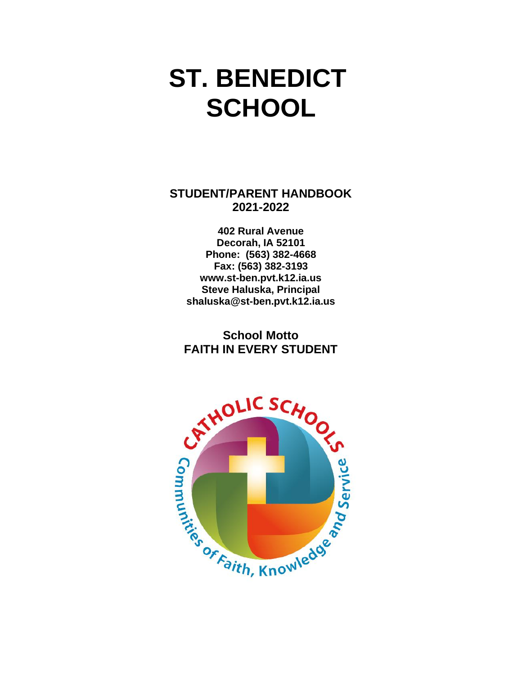# **ST. BENEDICT SCHOOL**

# **STUDENT/PARENT HANDBOOK 2021-2022**

**402 Rural Avenue Decorah, IA 52101 Phone: (563) 382-4668 Fax: (563) 382-3193 www.st-ben.pvt.k12.ia.us Steve Haluska, Principal shaluska@st-ben.pvt.k12.ia.us**

**School Motto FAITH IN EVERY STUDENT**

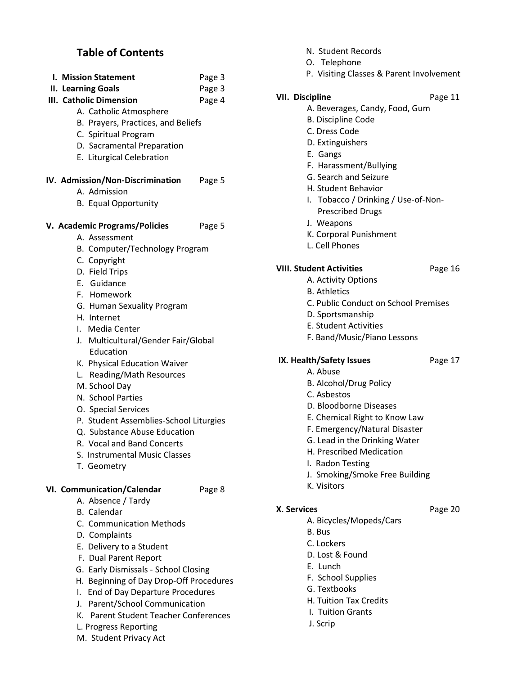# **Table of Contents**

| <b>I. Mission Statement</b><br>II. Learning Goals<br>III. Catholic Dimension<br>A. Catholic Atmosphere<br>B. Prayers, Practices, and Beliefs<br>C. Spiritual Program<br>D. Sacramental Preparation<br>E. Liturgical Celebration                                                                                                                                                                                                                    | Page 3<br>Page 3<br>Page 4 |
|----------------------------------------------------------------------------------------------------------------------------------------------------------------------------------------------------------------------------------------------------------------------------------------------------------------------------------------------------------------------------------------------------------------------------------------------------|----------------------------|
| IV. Admission/Non-Discrimination Page 5                                                                                                                                                                                                                                                                                                                                                                                                            |                            |
| A. Admission                                                                                                                                                                                                                                                                                                                                                                                                                                       |                            |
| <b>B.</b> Equal Opportunity                                                                                                                                                                                                                                                                                                                                                                                                                        |                            |
| V. Academic Programs/Policies<br>A. Assessment<br>B. Computer/Technology Program                                                                                                                                                                                                                                                                                                                                                                   | Page 5                     |
| C. Copyright                                                                                                                                                                                                                                                                                                                                                                                                                                       |                            |
| D. Field Trips<br>E. Guidance<br>F. Homework<br>G. Human Sexuality Program<br>H. Internet<br>I. Media Center<br>J. Multicultural/Gender Fair/Global<br>Education<br>K. Physical Education Waiver<br>L. Reading/Math Resources<br>M. School Day<br>N. School Parties<br>O. Special Services<br>P. Student Assemblies-School Liturgies<br>Q. Substance Abuse Education<br>R. Vocal and Band Concerts<br>S. Instrumental Music Classes<br>T. Geometry |                            |
| VI. Communication/Calendar<br>A. Absence / Tardy<br><b>B.</b> Calendar<br>C. Communication Methods<br>D. Complaints<br>E. Delivery to a Student<br>F. Dual Parent Report<br>G. Early Dismissals - School Closing<br>H. Beginning of Day Drop-Off Procedures<br>End of Day Departure Procedures<br>L.<br>Parent/School Communication<br>J.                                                                                                          | Page 8                     |

- K. Parent Student Teacher Conferences
- L. Progress Reporting
- M. Student Privacy Act
- N. Student Records
- O. Telephone
- P. Visiting Classes & Parent Involvement

#### **VII. Discipline** Page 11

- A. Beverages, Candy, Food, Gum
- B. Discipline Code
- C. Dress Code
- D. Extinguishers
- E. Gangs
- F. Harassment/Bullying
- G. Search and Seizure
- H. Student Behavior
- I. Tobacco / Drinking / Use-of-Non- Prescribed Drugs
- J. Weapons
- K. Corporal Punishment
- L. Cell Phones

#### **VIII. Student Activities** Page 16

- A. Activity Options
- B. Athletics
- C. Public Conduct on School Premises
- D. Sportsmanship
- E. Student Activities
- F. Band/Music/Piano Lessons

#### **IX. Health/Safety Issues** Page 17

- A. Abuse
- B. Alcohol/Drug Policy
- C. Asbestos
- D. Bloodborne Diseases
- E. Chemical Right to Know Law
- F. Emergency/Natural Disaster
- G. Lead in the Drinking Water
- H. Prescribed Medication
- I. Radon Testing
- J. Smoking/Smoke Free Building
- K. Visitors

#### **X. Services** Page 20

- A. Bicycles/Mopeds/Cars
- B. Bus
- C. Lockers
- D. Lost & Found
- E. Lunch
- F. School Supplies
- G. Textbooks
- H. Tuition Tax Credits
- I. Tuition Grants
- J. Scrip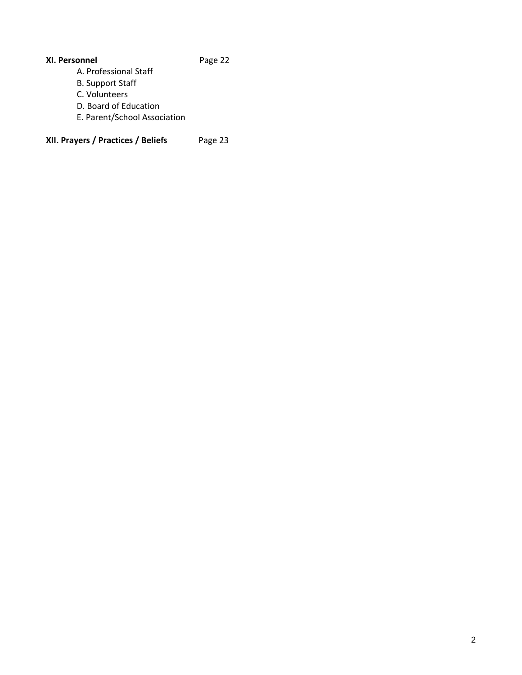#### **XI. Personnel** Page 22 A. Professional Staff B. Support Staff

C. Volunteers

D. Board of Education

E. Parent/School Association

**XII. Prayers / Practices / Beliefs** Page 23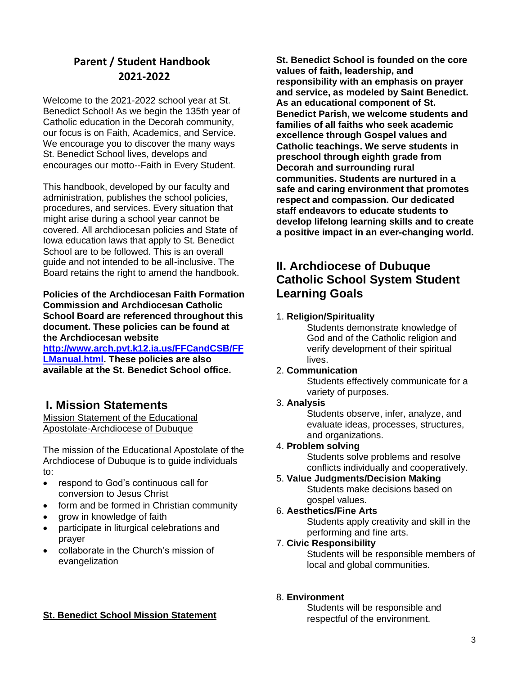# **Parent / Student Handbook 2021-2022**

Welcome to the 2021-2022 school year at St. Benedict School! As we begin the 135th year of Catholic education in the Decorah community, our focus is on Faith, Academics, and Service. We encourage you to discover the many ways St. Benedict School lives, develops and encourages our motto--Faith in Every Student.

This handbook, developed by our faculty and administration, publishes the school policies, procedures, and services. Every situation that might arise during a school year cannot be covered. All archdiocesan policies and State of Iowa education laws that apply to St. Benedict School are to be followed. This is an overall guide and not intended to be all-inclusive. The Board retains the right to amend the handbook.

**Policies of the Archdiocesan Faith Formation Commission and Archdiocesan Catholic School Board are referenced throughout this document. These policies can be found at the Archdiocesan website [http://www.arch.pvt.k12.ia.us/FFCandCSB/FF](http://www.arch.pvt.k12.ia.us/FFCandCSB/FFLManual.html)**

**[LManual.html.](http://www.arch.pvt.k12.ia.us/FFCandCSB/FFLManual.html) These policies are also available at the St. Benedict School office.**

# **I. Mission Statements**

Mission Statement of the Educational Apostolate-Archdiocese of Dubuque

The mission of the Educational Apostolate of the Archdiocese of Dubuque is to guide individuals to:

- respond to God's continuous call for conversion to Jesus Christ
- form and be formed in Christian community
- grow in knowledge of faith
- participate in liturgical celebrations and prayer
- collaborate in the Church's mission of evangelization

**St. Benedict School is founded on the core values of faith, leadership, and responsibility with an emphasis on prayer and service, as modeled by Saint Benedict. As an educational component of St. Benedict Parish, we welcome students and families of all faiths who seek academic excellence through Gospel values and Catholic teachings. We serve students in preschool through eighth grade from Decorah and surrounding rural communities. Students are nurtured in a safe and caring environment that promotes respect and compassion. Our dedicated staff endeavors to educate students to develop lifelong learning skills and to create a positive impact in an ever-changing world.**

# **II. Archdiocese of Dubuque Catholic School System Student Learning Goals**

#### 1. **Religion/Spirituality**

Students demonstrate knowledge of God and of the Catholic religion and verify development of their spiritual lives.

2. **Communication**

Students effectively communicate for a variety of purposes.

3. **Analysis**

Students observe, infer, analyze, and evaluate ideas, processes, structures, and organizations.

4. **Problem solving** 

Students solve problems and resolve conflicts individually and cooperatively.

- 5. **Value Judgments/Decision Making** Students make decisions based on gospel values.
- 6. **Aesthetics/Fine Arts**

Students apply creativity and skill in the performing and fine arts.

7. **Civic Responsibility** 

Students will be responsible members of local and global communities.

#### 8. **Environment**

Students will be responsible and respectful of the environment.

## **St. Benedict School Mission Statement**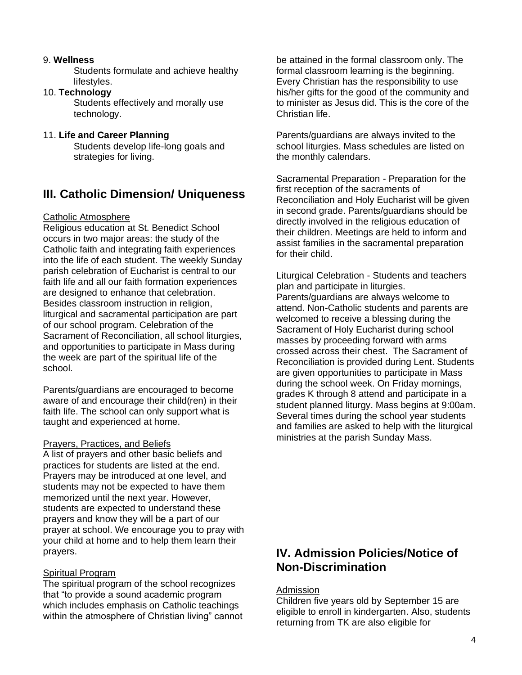#### 9. **Wellness**

Students formulate and achieve healthy lifestyles.

#### 10. **Technology**

Students effectively and morally use technology.

#### 11. **Life and Career Planning**

Students develop life-long goals and strategies for living.

# **III. Catholic Dimension/ Uniqueness**

#### **Catholic Atmosphere**

Religious education at St. Benedict School occurs in two major areas: the study of the Catholic faith and integrating faith experiences into the life of each student. The weekly Sunday parish celebration of Eucharist is central to our faith life and all our faith formation experiences are designed to enhance that celebration. Besides classroom instruction in religion, liturgical and sacramental participation are part of our school program. Celebration of the Sacrament of Reconciliation, all school liturgies, and opportunities to participate in Mass during the week are part of the spiritual life of the school.

Parents/guardians are encouraged to become aware of and encourage their child(ren) in their faith life. The school can only support what is taught and experienced at home.

#### Prayers, Practices, and Beliefs

A list of prayers and other basic beliefs and practices for students are listed at the end. Prayers may be introduced at one level, and students may not be expected to have them memorized until the next year. However, students are expected to understand these prayers and know they will be a part of our prayer at school. We encourage you to pray with your child at home and to help them learn their prayers.

#### Spiritual Program

The spiritual program of the school recognizes that "to provide a sound academic program which includes emphasis on Catholic teachings within the atmosphere of Christian living" cannot be attained in the formal classroom only. The formal classroom learning is the beginning. Every Christian has the responsibility to use his/her gifts for the good of the community and to minister as Jesus did. This is the core of the Christian life.

Parents/guardians are always invited to the school liturgies. Mass schedules are listed on the monthly calendars.

Sacramental Preparation - Preparation for the first reception of the sacraments of Reconciliation and Holy Eucharist will be given in second grade. Parents/guardians should be directly involved in the religious education of their children. Meetings are held to inform and assist families in the sacramental preparation for their child.

Liturgical Celebration - Students and teachers plan and participate in liturgies. Parents/guardians are always welcome to attend. Non-Catholic students and parents are welcomed to receive a blessing during the Sacrament of Holy Eucharist during school masses by proceeding forward with arms crossed across their chest. The Sacrament of Reconciliation is provided during Lent. Students are given opportunities to participate in Mass during the school week. On Friday mornings, grades K through 8 attend and participate in a student planned liturgy. Mass begins at 9:00am. Several times during the school year students and families are asked to help with the liturgical ministries at the parish Sunday Mass.

# **IV. Admission Policies/Notice of Non-Discrimination**

#### Admission

Children five years old by September 15 are eligible to enroll in kindergarten. Also, students returning from TK are also eligible for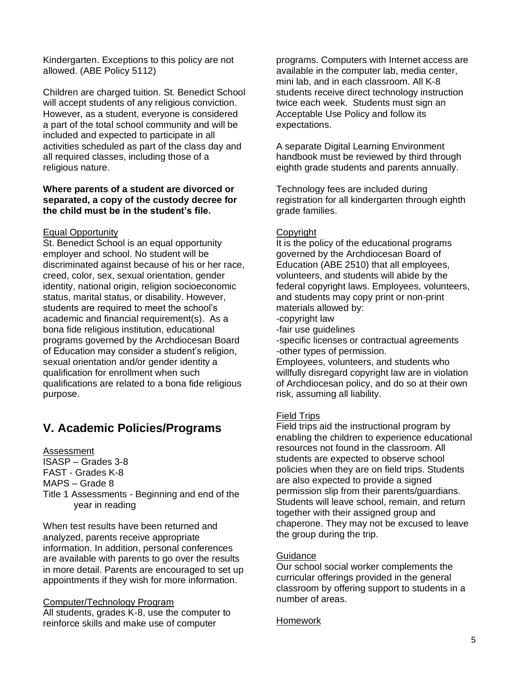Kindergarten. Exceptions to this policy are not allowed. (ABE Policy 5112)

Children are charged tuition. St. Benedict School will accept students of any religious conviction. However, as a student, everyone is considered a part of the total school community and will be included and expected to participate in all activities scheduled as part of the class day and all required classes, including those of a religious nature.

#### **Where parents of a student are divorced or separated, a copy of the custody decree for the child must be in the student's file.**

#### Equal Opportunity

St. Benedict School is an equal opportunity employer and school. No student will be discriminated against because of his or her race, creed, color, sex, sexual orientation, gender identity, national origin, religion socioeconomic status, marital status, or disability. However, students are required to meet the school's academic and financial requirement(s). As a bona fide religious institution, educational programs governed by the Archdiocesan Board of Education may consider a student's religion, sexual orientation and/or gender identity a qualification for enrollment when such qualifications are related to a bona fide religious purpose.

# **V. Academic Policies/Programs**

Assessment ISASP – Grades 3-8 FAST - Grades K-8 MAPS – Grade 8 Title 1 Assessments - Beginning and end of the year in reading

When test results have been returned and analyzed, parents receive appropriate information. In addition, personal conferences are available with parents to go over the results in more detail. Parents are encouraged to set up appointments if they wish for more information.

Computer/Technology Program All students, grades K-8, use the computer to reinforce skills and make use of computer

programs. Computers with Internet access are available in the computer lab, media center, mini lab, and in each classroom. All K-8 students receive direct technology instruction twice each week. Students must sign an Acceptable Use Policy and follow its expectations.

A separate Digital Learning Environment handbook must be reviewed by third through eighth grade students and parents annually.

Technology fees are included during registration for all kindergarten through eighth grade families.

#### Copyright

It is the policy of the educational programs governed by the Archdiocesan Board of Education (ABE 2510) that all employees, volunteers, and students will abide by the federal copyright laws. Employees, volunteers, and students may copy print or non-print materials allowed by: -copyright law

-fair use guidelines

-specific licenses or contractual agreements -other types of permission.

Employees, volunteers, and students who willfully disregard copyright law are in violation of Archdiocesan policy, and do so at their own risk, assuming all liability.

#### Field Trips

Field trips aid the instructional program by enabling the children to experience educational resources not found in the classroom. All students are expected to observe school policies when they are on field trips. Students are also expected to provide a signed permission slip from their parents/guardians. Students will leave school, remain, and return together with their assigned group and chaperone. They may not be excused to leave the group during the trip.

#### **Guidance**

Our school social worker complements the curricular offerings provided in the general classroom by offering support to students in a number of areas.

**Homework**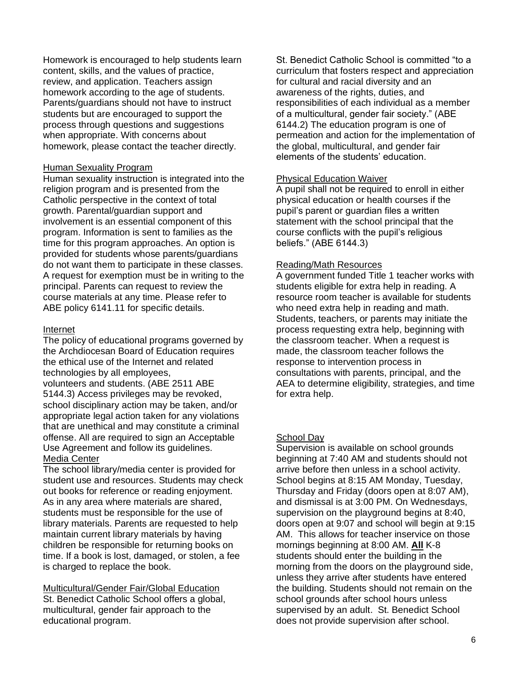Homework is encouraged to help students learn content, skills, and the values of practice, review, and application. Teachers assign homework according to the age of students. Parents/guardians should not have to instruct students but are encouraged to support the process through questions and suggestions when appropriate. With concerns about homework, please contact the teacher directly.

#### Human Sexuality Program

Human sexuality instruction is integrated into the religion program and is presented from the Catholic perspective in the context of total growth. Parental/guardian support and involvement is an essential component of this program. Information is sent to families as the time for this program approaches. An option is provided for students whose parents/guardians do not want them to participate in these classes. A request for exemption must be in writing to the principal. Parents can request to review the course materials at any time. Please refer to ABE policy 6141.11 for specific details.

#### Internet

The policy of educational programs governed by the Archdiocesan Board of Education requires the ethical use of the Internet and related technologies by all employees, volunteers and students. (ABE 2511 ABE 5144.3) Access privileges may be revoked, school disciplinary action may be taken, and/or appropriate legal action taken for any violations that are unethical and may constitute a criminal offense. All are required to sign an Acceptable Use Agreement and follow its guidelines. Media Center

The school library/media center is provided for student use and resources. Students may check out books for reference or reading enjoyment. As in any area where materials are shared, students must be responsible for the use of library materials. Parents are requested to help maintain current library materials by having children be responsible for returning books on time. If a book is lost, damaged, or stolen, a fee is charged to replace the book.

Multicultural/Gender Fair/Global Education St. Benedict Catholic School offers a global, multicultural, gender fair approach to the educational program.

St. Benedict Catholic School is committed "to a curriculum that fosters respect and appreciation for cultural and racial diversity and an awareness of the rights, duties, and responsibilities of each individual as a member of a multicultural, gender fair society." (ABE 6144.2) The education program is one of permeation and action for the implementation of the global, multicultural, and gender fair elements of the students' education.

#### Physical Education Waiver

A pupil shall not be required to enroll in either physical education or health courses if the pupil's parent or guardian files a written statement with the school principal that the course conflicts with the pupil's religious beliefs." (ABE 6144.3)

#### Reading/Math Resources

A government funded Title 1 teacher works with students eligible for extra help in reading. A resource room teacher is available for students who need extra help in reading and math. Students, teachers, or parents may initiate the process requesting extra help, beginning with the classroom teacher. When a request is made, the classroom teacher follows the response to intervention process in consultations with parents, principal, and the AEA to determine eligibility, strategies, and time for extra help.

#### School Day

Supervision is available on school grounds beginning at 7:40 AM and students should not arrive before then unless in a school activity. School begins at 8:15 AM Monday, Tuesday, Thursday and Friday (doors open at 8:07 AM), and dismissal is at 3:00 PM. On Wednesdays, supervision on the playground begins at 8:40, doors open at 9:07 and school will begin at 9:15 AM. This allows for teacher inservice on those mornings beginning at 8:00 AM. **All** K-8 students should enter the building in the morning from the doors on the playground side, unless they arrive after students have entered the building. Students should not remain on the school grounds after school hours unless supervised by an adult. St. Benedict School does not provide supervision after school.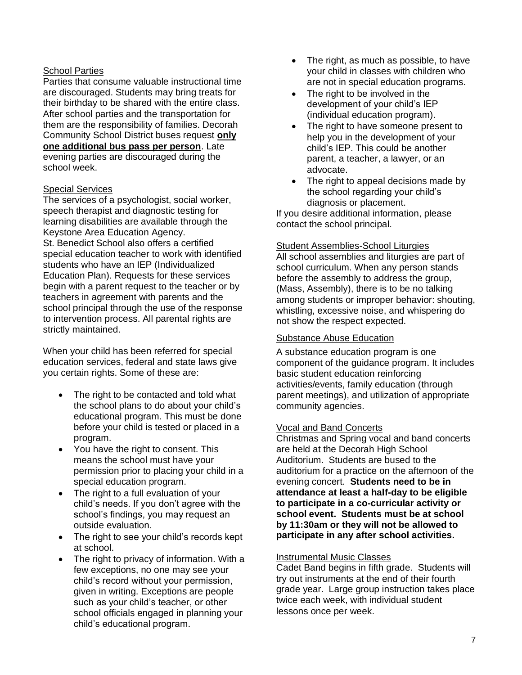#### School Parties

Parties that consume valuable instructional time are discouraged. Students may bring treats for their birthday to be shared with the entire class. After school parties and the transportation for them are the responsibility of families. Decorah Community School District buses request **only one additional bus pass per person**. Late evening parties are discouraged during the school week.

#### Special Services

The services of a psychologist, social worker, speech therapist and diagnostic testing for learning disabilities are available through the Keystone Area Education Agency. St. Benedict School also offers a certified special education teacher to work with identified students who have an IEP (Individualized Education Plan). Requests for these services begin with a parent request to the teacher or by teachers in agreement with parents and the school principal through the use of the response to intervention process. All parental rights are strictly maintained.

When your child has been referred for special education services, federal and state laws give you certain rights. Some of these are:

- The right to be contacted and told what the school plans to do about your child's educational program. This must be done before your child is tested or placed in a program.
- You have the right to consent. This means the school must have your permission prior to placing your child in a special education program.
- The right to a full evaluation of your child's needs. If you don't agree with the school's findings, you may request an outside evaluation.
- The right to see your child's records kept at school.
- The right to privacy of information. With a few exceptions, no one may see your child's record without your permission, given in writing. Exceptions are people such as your child's teacher, or other school officials engaged in planning your child's educational program.
- The right, as much as possible, to have your child in classes with children who are not in special education programs.
- The right to be involved in the development of your child's IEP (individual education program).
- The right to have someone present to help you in the development of your child's IEP. This could be another parent, a teacher, a lawyer, or an advocate.
- The right to appeal decisions made by the school regarding your child's diagnosis or placement.

If you desire additional information, please contact the school principal.

#### Student Assemblies-School Liturgies

All school assemblies and liturgies are part of school curriculum. When any person stands before the assembly to address the group, (Mass, Assembly), there is to be no talking among students or improper behavior: shouting, whistling, excessive noise, and whispering do not show the respect expected.

#### Substance Abuse Education

A substance education program is one component of the guidance program. It includes basic student education reinforcing activities/events, family education (through parent meetings), and utilization of appropriate community agencies.

#### Vocal and Band Concerts

Christmas and Spring vocal and band concerts are held at the Decorah High School Auditorium. Students are bused to the auditorium for a practice on the afternoon of the evening concert. **Students need to be in attendance at least a half-day to be eligible to participate in a co-curricular activity or school event. Students must be at school by 11:30am or they will not be allowed to participate in any after school activities.**

#### Instrumental Music Classes

Cadet Band begins in fifth grade. Students will try out instruments at the end of their fourth grade year. Large group instruction takes place twice each week, with individual student lessons once per week.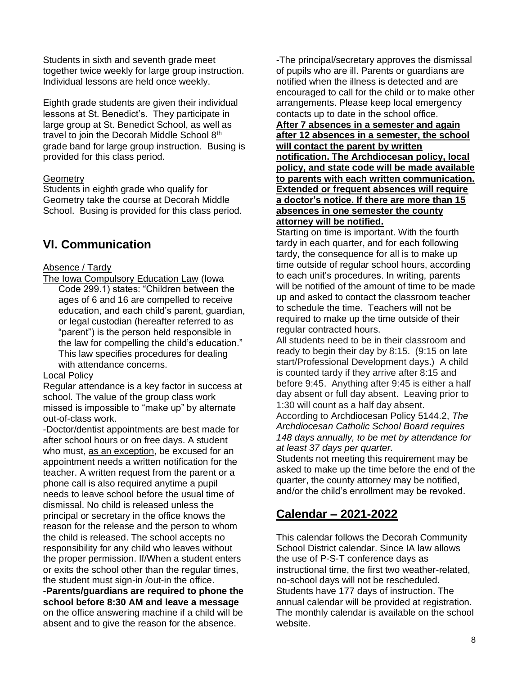Students in sixth and seventh grade meet together twice weekly for large group instruction. Individual lessons are held once weekly.

Eighth grade students are given their individual lessons at St. Benedict's. They participate in large group at St. Benedict School, as well as travel to join the Decorah Middle School 8th grade band for large group instruction. Busing is provided for this class period.

#### **Geometry**

Students in eighth grade who qualify for Geometry take the course at Decorah Middle School. Busing is provided for this class period.

# **VI. Communication**

#### Absence / Tardy

The Iowa Compulsory Education Law (Iowa Code 299.1) states: "Children between the ages of 6 and 16 are compelled to receive education, and each child's parent, guardian, or legal custodian (hereafter referred to as "parent") is the person held responsible in the law for compelling the child's education." This law specifies procedures for dealing with attendance concerns.

#### Local Policy

Regular attendance is a key factor in success at school. The value of the group class work missed is impossible to "make up" by alternate out-of-class work.

-Doctor/dentist appointments are best made for after school hours or on free days. A student who must, as an exception, be excused for an appointment needs a written notification for the teacher. A written request from the parent or a phone call is also required anytime a pupil needs to leave school before the usual time of dismissal. No child is released unless the principal or secretary in the office knows the reason for the release and the person to whom the child is released. The school accepts no responsibility for any child who leaves without the proper permission. If/When a student enters or exits the school other than the regular times, the student must sign-in /out-in the office.

**-Parents/guardians are required to phone the school before 8:30 AM and leave a message** on the office answering machine if a child will be absent and to give the reason for the absence.

-The principal/secretary approves the dismissal of pupils who are ill. Parents or guardians are notified when the illness is detected and are encouraged to call for the child or to make other arrangements. Please keep local emergency contacts up to date in the school office.

**After 7 absences in a semester and again after 12 absences in a semester, the school will contact the parent by written notification. The Archdiocesan policy, local policy, and state code will be made available to parents with each written communication. Extended or frequent absences will require a doctor's notice. If there are more than 15 absences in one semester the county** 

#### **attorney will be notified.**

Starting on time is important. With the fourth tardy in each quarter, and for each following tardy, the consequence for all is to make up time outside of regular school hours, according to each unit's procedures. In writing, parents will be notified of the amount of time to be made up and asked to contact the classroom teacher to schedule the time. Teachers will not be required to make up the time outside of their regular contracted hours.

All students need to be in their classroom and ready to begin their day by 8:15. (9:15 on late start/Professional Development days.) A child is counted tardy if they arrive after 8:15 and before 9:45. Anything after 9:45 is either a half day absent or full day absent. Leaving prior to 1:30 will count as a half day absent.

According to Archdiocesan Policy 5144.2, *The Archdiocesan Catholic School Board requires 148 days annually, to be met by attendance for at least 37 days per quarter.*

Students not meeting this requirement may be asked to make up the time before the end of the quarter, the county attorney may be notified, and/or the child's enrollment may be revoked.

# **Calendar – 2021-2022**

This calendar follows the Decorah Community School District calendar. Since IA law allows the use of P-S-T conference days as instructional time, the first two weather-related, no-school days will not be rescheduled. Students have 177 days of instruction. The annual calendar will be provided at registration. The monthly calendar is available on the school website.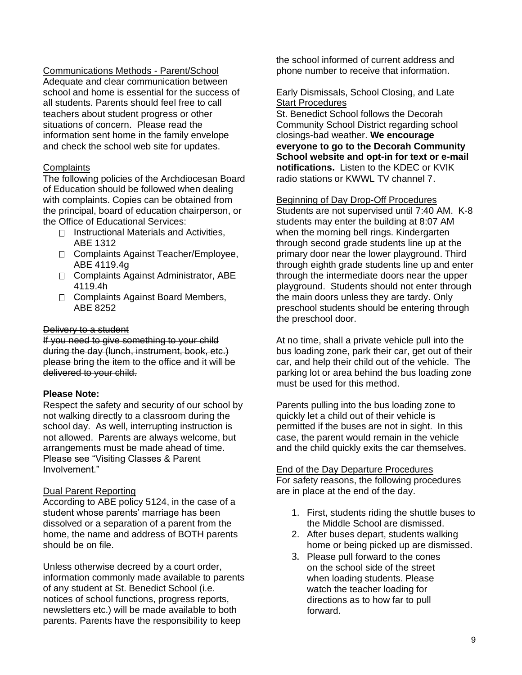#### Communications Methods - Parent/School

Adequate and clear communication between school and home is essential for the success of all students. Parents should feel free to call teachers about student progress or other situations of concern. Please read the information sent home in the family envelope and check the school web site for updates.

#### **Complaints**

The following policies of the Archdiocesan Board of Education should be followed when dealing with complaints. Copies can be obtained from the principal, board of education chairperson, or the Office of Educational Services:

- $\Box$  Instructional Materials and Activities, ABE 1312
- □ Complaints Against Teacher/Employee, ABE 4119.4g
- □ Complaints Against Administrator, ABE 4119.4h
- □ Complaints Against Board Members, ABE 8252

#### Delivery to a student

If you need to give something to your child during the day (lunch, instrument, book, etc.) please bring the item to the office and it will be delivered to your child.

#### **Please Note:**

Respect the safety and security of our school by not walking directly to a classroom during the school day. As well, interrupting instruction is not allowed. Parents are always welcome, but arrangements must be made ahead of time. Please see "Visiting Classes & Parent Involvement."

#### Dual Parent Reporting

According to ABE policy 5124, in the case of a student whose parents' marriage has been dissolved or a separation of a parent from the home, the name and address of BOTH parents should be on file.

Unless otherwise decreed by a court order, information commonly made available to parents of any student at St. Benedict School (i.e. notices of school functions, progress reports, newsletters etc.) will be made available to both parents. Parents have the responsibility to keep

the school informed of current address and phone number to receive that information.

#### Early Dismissals, School Closing, and Late Start Procedures

St. Benedict School follows the Decorah Community School District regarding school closings-bad weather. **We encourage everyone to go to the Decorah Community School website and opt-in for text or e-mail notifications.** Listen to the KDEC or KVIK radio stations or KWWL TV channel 7.

Beginning of Day Drop-Off Procedures Students are not supervised until 7:40 AM. K-8 students may enter the building at 8:07 AM when the morning bell rings. Kindergarten through second grade students line up at the primary door near the lower playground. Third through eighth grade students line up and enter through the intermediate doors near the upper playground. Students should not enter through the main doors unless they are tardy. Only preschool students should be entering through the preschool door.

At no time, shall a private vehicle pull into the bus loading zone, park their car, get out of their car, and help their child out of the vehicle. The parking lot or area behind the bus loading zone must be used for this method.

Parents pulling into the bus loading zone to quickly let a child out of their vehicle is permitted if the buses are not in sight. In this case, the parent would remain in the vehicle and the child quickly exits the car themselves.

# End of the Day Departure Procedures

For safety reasons, the following procedures are in place at the end of the day.

- 1. First, students riding the shuttle buses to the Middle School are dismissed.
- 2. After buses depart, students walking home or being picked up are dismissed.
- 3. Please pull forward to the cones on the school side of the street when loading students. Please watch the teacher loading for directions as to how far to pull forward.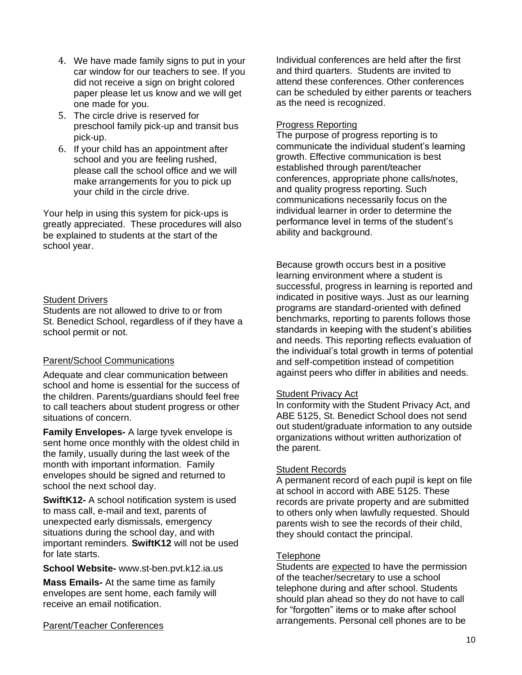- 4. We have made family signs to put in your car window for our teachers to see. If you did not receive a sign on bright colored paper please let us know and we will get one made for you.
- 5. The circle drive is reserved for preschool family pick-up and transit bus pick-up.
- 6. If your child has an appointment after school and you are feeling rushed, please call the school office and we will make arrangements for you to pick up your child in the circle drive.

Your help in using this system for pick-ups is greatly appreciated. These procedures will also be explained to students at the start of the school year.

#### Student Drivers

Students are not allowed to drive to or from St. Benedict School, regardless of if they have a school permit or not.

## Parent/School Communications

Adequate and clear communication between school and home is essential for the success of the children. Parents/guardians should feel free to call teachers about student progress or other situations of concern.

**Family Envelopes-** A large tyvek envelope is sent home once monthly with the oldest child in the family, usually during the last week of the month with important information. Family envelopes should be signed and returned to school the next school day.

**SwiftK12-** A school notification system is used to mass call, e-mail and text, parents of unexpected early dismissals, emergency situations during the school day, and with important reminders. **SwiftK12** will not be used for late starts.

#### **School Website-** www.st-ben.pvt.k12.ia.us

**Mass Emails-** At the same time as family envelopes are sent home, each family will receive an email notification.

Parent/Teacher Conferences

Individual conferences are held after the first and third quarters. Students are invited to attend these conferences. Other conferences can be scheduled by either parents or teachers as the need is recognized.

#### Progress Reporting

The purpose of progress reporting is to communicate the individual student's learning growth. Effective communication is best established through parent/teacher conferences, appropriate phone calls/notes, and quality progress reporting. Such communications necessarily focus on the individual learner in order to determine the performance level in terms of the student's ability and background.

Because growth occurs best in a positive learning environment where a student is successful, progress in learning is reported and indicated in positive ways. Just as our learning programs are standard-oriented with defined benchmarks, reporting to parents follows those standards in keeping with the student's abilities and needs. This reporting reflects evaluation of the individual's total growth in terms of potential and self-competition instead of competition against peers who differ in abilities and needs.

## Student Privacy Act

In conformity with the Student Privacy Act, and ABE 5125, St. Benedict School does not send out student/graduate information to any outside organizations without written authorization of the parent.

#### Student Records

A permanent record of each pupil is kept on file at school in accord with ABE 5125. These records are private property and are submitted to others only when lawfully requested. Should parents wish to see the records of their child, they should contact the principal.

#### Telephone

Students are expected to have the permission of the teacher/secretary to use a school telephone during and after school. Students should plan ahead so they do not have to call for "forgotten" items or to make after school arrangements. Personal cell phones are to be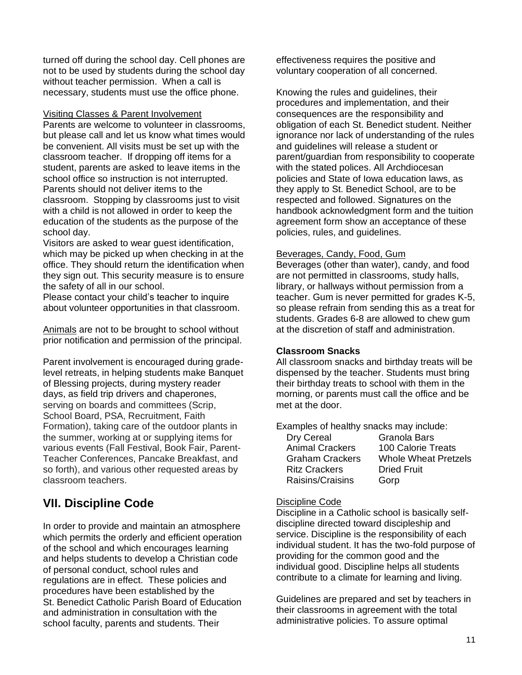turned off during the school day. Cell phones are not to be used by students during the school day without teacher permission. When a call is necessary, students must use the office phone.

#### Visiting Classes & Parent Involvement

Parents are welcome to volunteer in classrooms, but please call and let us know what times would be convenient. All visits must be set up with the classroom teacher. If dropping off items for a student, parents are asked to leave items in the school office so instruction is not interrupted. Parents should not deliver items to the classroom. Stopping by classrooms just to visit with a child is not allowed in order to keep the education of the students as the purpose of the school day.

Visitors are asked to wear guest identification, which may be picked up when checking in at the office. They should return the identification when they sign out. This security measure is to ensure the safety of all in our school.

Please contact your child's teacher to inquire about volunteer opportunities in that classroom.

Animals are not to be brought to school without prior notification and permission of the principal.

Parent involvement is encouraged during gradelevel retreats, in helping students make Banquet of Blessing projects, during mystery reader days, as field trip drivers and chaperones, serving on boards and committees (Scrip, School Board, PSA, Recruitment, Faith Formation), taking care of the outdoor plants in the summer, working at or supplying items for various events (Fall Festival, Book Fair, Parent-Teacher Conferences, Pancake Breakfast, and so forth), and various other requested areas by classroom teachers.

# **VII. Discipline Code**

In order to provide and maintain an atmosphere which permits the orderly and efficient operation of the school and which encourages learning and helps students to develop a Christian code of personal conduct, school rules and regulations are in effect. These policies and procedures have been established by the St. Benedict Catholic Parish Board of Education and administration in consultation with the school faculty, parents and students. Their

effectiveness requires the positive and voluntary cooperation of all concerned.

Knowing the rules and guidelines, their procedures and implementation, and their consequences are the responsibility and obligation of each St. Benedict student. Neither ignorance nor lack of understanding of the rules and guidelines will release a student or parent/guardian from responsibility to cooperate with the stated polices. All Archdiocesan policies and State of Iowa education laws, as they apply to St. Benedict School, are to be respected and followed. Signatures on the handbook acknowledgment form and the tuition agreement form show an acceptance of these policies, rules, and guidelines.

#### Beverages, Candy, Food, Gum

Beverages (other than water), candy, and food are not permitted in classrooms, study halls, library, or hallways without permission from a teacher. Gum is never permitted for grades K-5, so please refrain from sending this as a treat for students. Grades 6-8 are allowed to chew gum at the discretion of staff and administration.

#### **Classroom Snacks**

All classroom snacks and birthday treats will be dispensed by the teacher. Students must bring their birthday treats to school with them in the morning, or parents must call the office and be met at the door.

Examples of healthy snacks may include:

| Dry Cereal             | Granola Bars                |
|------------------------|-----------------------------|
| <b>Animal Crackers</b> | 100 Calorie Treats          |
| <b>Graham Crackers</b> | <b>Whole Wheat Pretzels</b> |
| <b>Ritz Crackers</b>   | <b>Dried Fruit</b>          |
| Raisins/Craisins       | Gorp                        |
|                        |                             |

## Discipline Code

Discipline in a Catholic school is basically selfdiscipline directed toward discipleship and service. Discipline is the responsibility of each individual student. It has the two-fold purpose of providing for the common good and the individual good. Discipline helps all students contribute to a climate for learning and living.

Guidelines are prepared and set by teachers in their classrooms in agreement with the total administrative policies. To assure optimal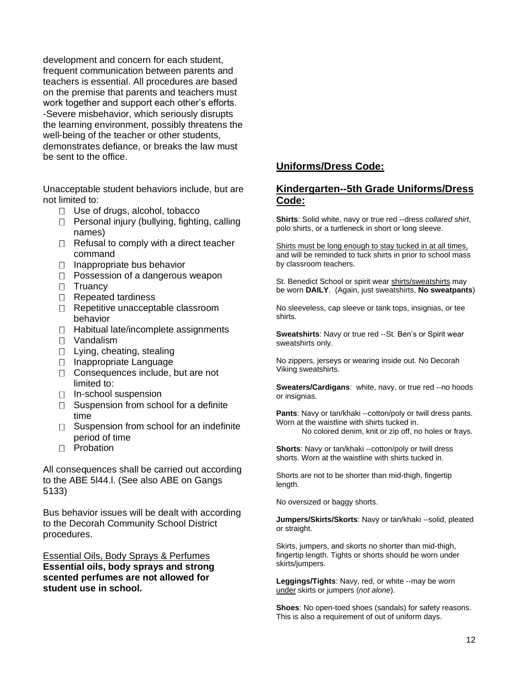development and concern for each student, frequent communication between parents and teachers is essential. All procedures are based on the premise that parents and teachers must work together and support each other's efforts. -Severe misbehavior, which seriously disrupts the learning environment, possibly threatens the well-being of the teacher or other students, demonstrates defiance, or breaks the law must be sent to the office.

Unacceptable student behaviors include, but are not limited to:

- □ Use of drugs, alcohol, tobacco
- $\Box$  Personal injury (bullying, fighting, calling names)
- $\Box$  Refusal to comply with a direct teacher command
- $\Box$  Inappropriate bus behavior
- $\Box$  Possession of a dangerous weapon
- □ Truancy
- □ Repeated tardiness
- $\Box$  Repetitive unacceptable classroom behavior
- $\Box$  Habitual late/incomplete assignments
- Vandalism
- $\Box$  Lying, cheating, stealing
- Inappropriate Language
- □ Consequences include, but are not limited to:
- □ In-school suspension
- $\Box$  Suspension from school for a definite time
- $\Box$  Suspension from school for an indefinite period of time
- $\Box$  Probation

All consequences shall be carried out according to the ABE 5l44.l. (See also ABE on Gangs 5133)

Bus behavior issues will be dealt with according to the Decorah Community School District procedures.

Essential Oils, Body Sprays & Perfumes **Essential oils, body sprays and strong scented perfumes are not allowed for student use in school.**

#### **Uniforms/Dress Code:**

#### **Kindergarten--5th Grade Uniforms/Dress Code:**

**Shirts**: Solid white, navy or true red --dress *collared shirt*, polo shirts, or a turtleneck in short or long sleeve.

Shirts must be long enough to stay tucked in at all times, and will be reminded to tuck shirts in prior to school mass by classroom teachers.

St. Benedict School or spirit wear shirts/sweatshirts may be worn **DAILY**. (Again, just sweatshirts, **No sweatpants**)

No sleeveless, cap sleeve or tank tops, insignias, or tee shirts.

**Sweatshirts**: Navy or true red --St. Ben's or Spirit wear sweatshirts only.

No zippers, jerseys or wearing inside out. No Decorah Viking sweatshirts.

**Sweaters/Cardigans**: white, navy, or true red --no hoods or insignias.

**Pants**: Navy or tan/khaki --cotton/poly or twill dress pants. Worn at the waistline with shirts tucked in. No colored denim, knit or zip off, no holes or frays.

**Shorts**: Navy or tan/khaki --cotton/poly or twill dress shorts. Worn at the waistline with shirts tucked in.

Shorts are not to be shorter than mid-thigh, fingertip length.

No oversized or baggy shorts.

**Jumpers/Skirts/Skorts**: Navy or tan/khaki --solid, pleated or straight.

Skirts, jumpers, and skorts no shorter than mid-thigh, fingertip length. Tights or shorts should be worn under skirts/jumpers.

**Leggings/Tights**: Navy, red, or white --may be worn under skirts or jumpers (*not alone*).

**Shoes**: No open-toed shoes (sandals) for safety reasons. This is also a requirement of out of uniform days.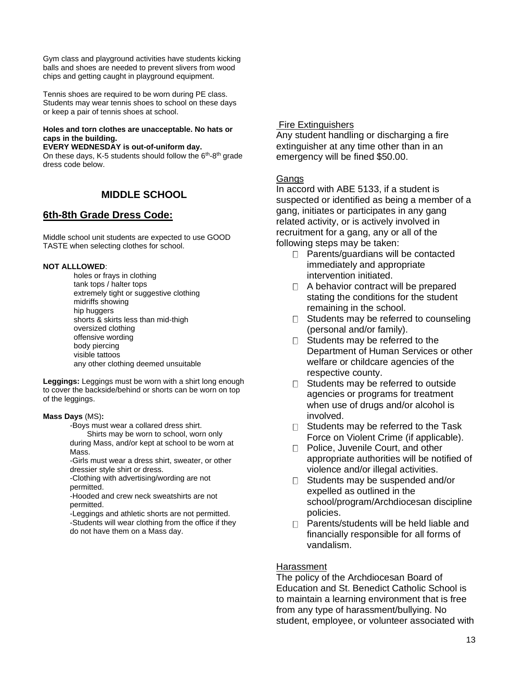Gym class and playground activities have students kicking balls and shoes are needed to prevent slivers from wood chips and getting caught in playground equipment.

Tennis shoes are required to be worn during PE class. Students may wear tennis shoes to school on these days or keep a pair of tennis shoes at school.

#### **Holes and torn clothes are unacceptable. No hats or caps in the building.**

#### **EVERY WEDNESDAY is out-of-uniform day.**

On these days, K-5 students should follow the  $6<sup>th</sup>$ -8<sup>th</sup> grade dress code below.

# **MIDDLE SCHOOL**

#### **6th-8th Grade Dress Code:**

Middle school unit students are expected to use GOOD TASTE when selecting clothes for school.

#### **NOT ALLLOWED**:

holes or frays in clothing tank tops / halter tops extremely tight or suggestive clothing midriffs showing hip huggers shorts & skirts less than mid-thigh oversized clothing offensive wording body piercing visible tattoos any other clothing deemed unsuitable

**Leggings:** Leggings must be worn with a shirt long enough to cover the backside/behind or shorts can be worn on top of the leggings.

#### **Mass Days** (MS)**:**

-Boys must wear a collared dress shirt.

 Shirts may be worn to school, worn only during Mass, and/or kept at school to be worn at Mass.

-Girls must wear a dress shirt, sweater, or other dressier style shirt or dress.

-Clothing with advertising/wording are not permitted.

-Hooded and crew neck sweatshirts are not permitted.

-Leggings and athletic shorts are not permitted. -Students will wear clothing from the office if they do not have them on a Mass day.

#### Fire Extinguishers

Any student handling or discharging a fire extinguisher at any time other than in an emergency will be fined \$50.00.

#### **Gangs**

In accord with ABE 5133, if a student is suspected or identified as being a member of a gang, initiates or participates in any gang related activity, or is actively involved in recruitment for a gang, any or all of the following steps may be taken:

- $\Box$  Parents/guardians will be contacted immediately and appropriate intervention initiated.
- $\Box$  A behavior contract will be prepared stating the conditions for the student remaining in the school.
- $\Box$  Students may be referred to counseling (personal and/or family).
- $\Box$  Students may be referred to the Department of Human Services or other welfare or childcare agencies of the respective county.
- $\Box$  Students may be referred to outside agencies or programs for treatment when use of drugs and/or alcohol is involved.
- $\Box$  Students may be referred to the Task Force on Violent Crime (if applicable).
- Police, Juvenile Court, and other  $\Box$ appropriate authorities will be notified of violence and/or illegal activities.
- $\Box$  Students may be suspended and/or expelled as outlined in the school/program/Archdiocesan discipline policies.
- $\Box$  Parents/students will be held liable and financially responsible for all forms of vandalism.

#### Harassment

The policy of the Archdiocesan Board of Education and St. Benedict Catholic School is to maintain a learning environment that is free from any type of harassment/bullying. No student, employee, or volunteer associated with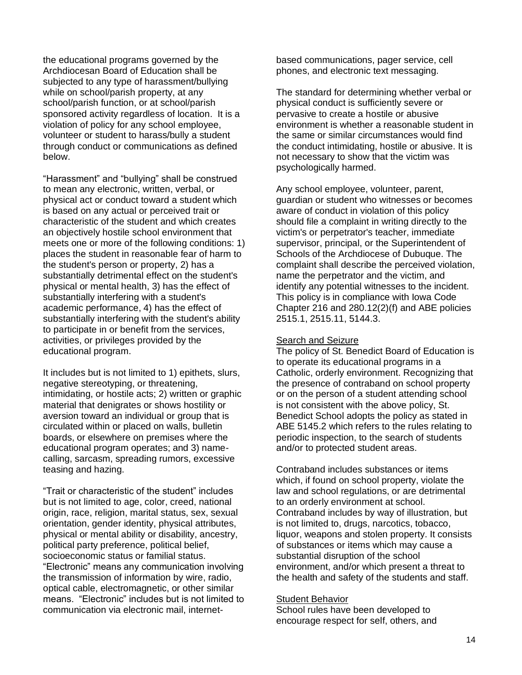the educational programs governed by the Archdiocesan Board of Education shall be subjected to any type of harassment/bullying while on school/parish property, at any school/parish function, or at school/parish sponsored activity regardless of location. It is a violation of policy for any school employee, volunteer or student to harass/bully a student through conduct or communications as defined below.

"Harassment" and "bullying" shall be construed to mean any electronic, written, verbal, or physical act or conduct toward a student which is based on any actual or perceived trait or characteristic of the student and which creates an objectively hostile school environment that meets one or more of the following conditions: 1) places the student in reasonable fear of harm to the student's person or property, 2) has a substantially detrimental effect on the student's physical or mental health, 3) has the effect of substantially interfering with a student's academic performance, 4) has the effect of substantially interfering with the student's ability to participate in or benefit from the services, activities, or privileges provided by the educational program.

It includes but is not limited to 1) epithets, slurs, negative stereotyping, or threatening, intimidating, or hostile acts; 2) written or graphic material that denigrates or shows hostility or aversion toward an individual or group that is circulated within or placed on walls, bulletin boards, or elsewhere on premises where the educational program operates; and 3) namecalling, sarcasm, spreading rumors, excessive teasing and hazing.

"Trait or characteristic of the student" includes but is not limited to age, color, creed, national origin, race, religion, marital status, sex, sexual orientation, gender identity, physical attributes, physical or mental ability or disability, ancestry, political party preference, political belief, socioeconomic status or familial status. "Electronic" means any communication involving the transmission of information by wire, radio, optical cable, electromagnetic, or other similar means. "Electronic" includes but is not limited to communication via electronic mail, internetbased communications, pager service, cell phones, and electronic text messaging.

The standard for determining whether verbal or physical conduct is sufficiently severe or pervasive to create a hostile or abusive environment is whether a reasonable student in the same or similar circumstances would find the conduct intimidating, hostile or abusive. It is not necessary to show that the victim was psychologically harmed.

Any school employee, volunteer, parent, guardian or student who witnesses or becomes aware of conduct in violation of this policy should file a complaint in writing directly to the victim's or perpetrator's teacher, immediate supervisor, principal, or the Superintendent of Schools of the Archdiocese of Dubuque. The complaint shall describe the perceived violation, name the perpetrator and the victim, and identify any potential witnesses to the incident. This policy is in compliance with Iowa Code Chapter 216 and 280.12(2)(f) and ABE policies 2515.1, 2515.11, 5144.3.

#### Search and Seizure

The policy of St. Benedict Board of Education is to operate its educational programs in a Catholic, orderly environment. Recognizing that the presence of contraband on school property or on the person of a student attending school is not consistent with the above policy, St. Benedict School adopts the policy as stated in ABE 5145.2 which refers to the rules relating to periodic inspection, to the search of students and/or to protected student areas.

Contraband includes substances or items which, if found on school property, violate the law and school regulations, or are detrimental to an orderly environment at school. Contraband includes by way of illustration, but is not limited to, drugs, narcotics, tobacco, liquor, weapons and stolen property. It consists of substances or items which may cause a substantial disruption of the school environment, and/or which present a threat to the health and safety of the students and staff.

#### Student Behavior

School rules have been developed to encourage respect for self, others, and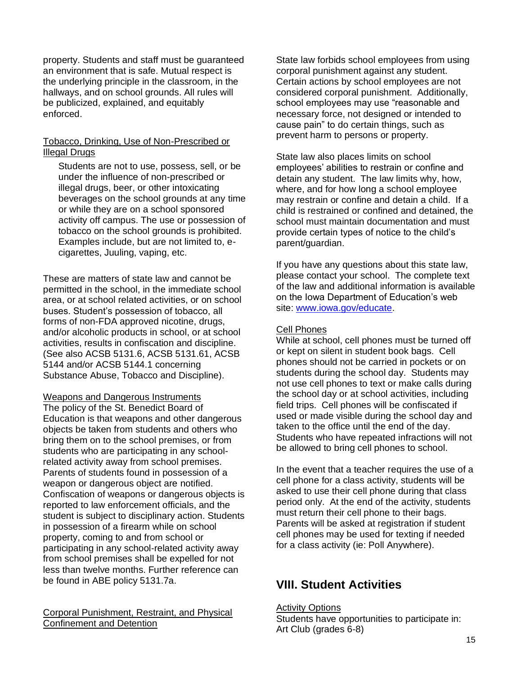property. Students and staff must be guaranteed an environment that is safe. Mutual respect is the underlying principle in the classroom, in the hallways, and on school grounds. All rules will be publicized, explained, and equitably enforced.

#### Tobacco, Drinking, Use of Non-Prescribed or Illegal Drugs

Students are not to use, possess, sell, or be under the influence of non-prescribed or illegal drugs, beer, or other intoxicating beverages on the school grounds at any time or while they are on a school sponsored activity off campus. The use or possession of tobacco on the school grounds is prohibited. Examples include, but are not limited to, ecigarettes, Juuling, vaping, etc.

These are matters of state law and cannot be permitted in the school, in the immediate school area, or at school related activities, or on school buses. Student's possession of tobacco, all forms of non-FDA approved nicotine, drugs, and/or alcoholic products in school, or at school activities, results in confiscation and discipline. (See also ACSB 5131.6, ACSB 5131.61, ACSB 5144 and/or ACSB 5144.1 concerning Substance Abuse, Tobacco and Discipline).

Weapons and Dangerous Instruments The policy of the St. Benedict Board of Education is that weapons and other dangerous objects be taken from students and others who bring them on to the school premises, or from students who are participating in any schoolrelated activity away from school premises. Parents of students found in possession of a weapon or dangerous object are notified. Confiscation of weapons or dangerous objects is reported to law enforcement officials, and the student is subject to disciplinary action. Students in possession of a firearm while on school property, coming to and from school or participating in any school-related activity away from school premises shall be expelled for not less than twelve months. Further reference can be found in ABE policy 5131.7a.

Corporal Punishment, Restraint, and Physical Confinement and Detention

State law forbids school employees from using corporal punishment against any student. Certain actions by school employees are not considered corporal punishment. Additionally, school employees may use "reasonable and necessary force, not designed or intended to cause pain" to do certain things, such as prevent harm to persons or property.

State law also places limits on school employees' abilities to restrain or confine and detain any student. The law limits why, how, where, and for how long a school employee may restrain or confine and detain a child. If a child is restrained or confined and detained, the school must maintain documentation and must provide certain types of notice to the child's parent/guardian.

If you have any questions about this state law, please contact your school. The complete text of the law and additional information is available on the Iowa Department of Education's web site: [www.iowa.gov/educate.](http://www.iowa.gov/educate)

#### Cell Phones

While at school, cell phones must be turned off or kept on silent in student book bags. Cell phones should not be carried in pockets or on students during the school day. Students may not use cell phones to text or make calls during the school day or at school activities, including field trips. Cell phones will be confiscated if used or made visible during the school day and taken to the office until the end of the day. Students who have repeated infractions will not be allowed to bring cell phones to school.

In the event that a teacher requires the use of a cell phone for a class activity, students will be asked to use their cell phone during that class period only. At the end of the activity, students must return their cell phone to their bags. Parents will be asked at registration if student cell phones may be used for texting if needed for a class activity (ie: Poll Anywhere).

# **VIII. Student Activities**

Activity Options

Students have opportunities to participate in: Art Club (grades 6-8)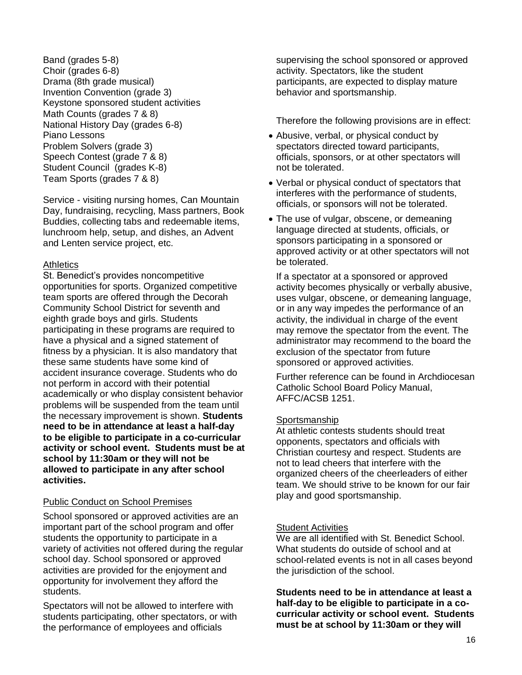Band (grades 5-8) Choir (grades 6-8) Drama (8th grade musical) Invention Convention (grade 3) Keystone sponsored student activities Math Counts (grades 7 & 8) National History Day (grades 6-8) Piano Lessons Problem Solvers (grade 3) Speech Contest (grade 7 & 8) Student Council (grades K-8) Team Sports (grades 7 & 8)

Service - visiting nursing homes, Can Mountain Day, fundraising, recycling, Mass partners, Book Buddies, collecting tabs and redeemable items, lunchroom help, setup, and dishes, an Advent and Lenten service project, etc.

#### **Athletics**

St. Benedict's provides noncompetitive opportunities for sports. Organized competitive team sports are offered through the Decorah Community School District for seventh and eighth grade boys and girls. Students participating in these programs are required to have a physical and a signed statement of fitness by a physician. It is also mandatory that these same students have some kind of accident insurance coverage. Students who do not perform in accord with their potential academically or who display consistent behavior problems will be suspended from the team until the necessary improvement is shown. **Students need to be in attendance at least a half-day to be eligible to participate in a co-curricular activity or school event. Students must be at school by 11:30am or they will not be allowed to participate in any after school activities.**

#### Public Conduct on School Premises

School sponsored or approved activities are an important part of the school program and offer students the opportunity to participate in a variety of activities not offered during the regular school day. School sponsored or approved activities are provided for the enjoyment and opportunity for involvement they afford the students.

Spectators will not be allowed to interfere with students participating, other spectators, or with the performance of employees and officials

supervising the school sponsored or approved activity. Spectators, like the student participants, are expected to display mature behavior and sportsmanship.

Therefore the following provisions are in effect:

- Abusive, verbal, or physical conduct by spectators directed toward participants, officials, sponsors, or at other spectators will not be tolerated.
- Verbal or physical conduct of spectators that interferes with the performance of students, officials, or sponsors will not be tolerated.
- The use of vulgar, obscene, or demeaning language directed at students, officials, or sponsors participating in a sponsored or approved activity or at other spectators will not be tolerated.

If a spectator at a sponsored or approved activity becomes physically or verbally abusive, uses vulgar, obscene, or demeaning language, or in any way impedes the performance of an activity, the individual in charge of the event may remove the spectator from the event. The administrator may recommend to the board the exclusion of the spectator from future sponsored or approved activities.

Further reference can be found in Archdiocesan Catholic School Board Policy Manual, AFFC/ACSB 1251.

#### Sportsmanship

At athletic contests students should treat opponents, spectators and officials with Christian courtesy and respect. Students are not to lead cheers that interfere with the organized cheers of the cheerleaders of either team. We should strive to be known for our fair play and good sportsmanship.

#### Student Activities

We are all identified with St. Benedict School. What students do outside of school and at school-related events is not in all cases beyond the jurisdiction of the school.

**Students need to be in attendance at least a half-day to be eligible to participate in a cocurricular activity or school event. Students must be at school by 11:30am or they will**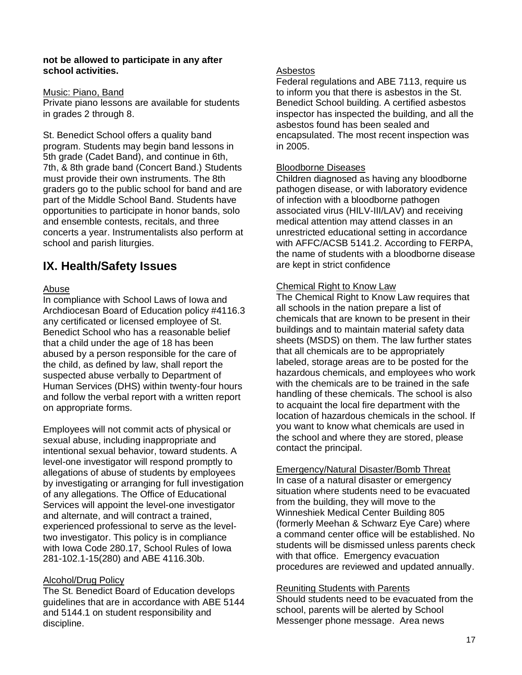#### **not be allowed to participate in any after school activities.**

#### Music: Piano, Band

Private piano lessons are available for students in grades 2 through 8.

St. Benedict School offers a quality band program. Students may begin band lessons in 5th grade (Cadet Band), and continue in 6th, 7th, & 8th grade band (Concert Band.) Students must provide their own instruments. The 8th graders go to the public school for band and are part of the Middle School Band. Students have opportunities to participate in honor bands, solo and ensemble contests, recitals, and three concerts a year. Instrumentalists also perform at school and parish liturgies.

# **IX. Health/Safety Issues**

#### Abuse

In compliance with School Laws of Iowa and Archdiocesan Board of Education policy #4116.3 any certificated or licensed employee of St. Benedict School who has a reasonable belief that a child under the age of 18 has been abused by a person responsible for the care of the child, as defined by law, shall report the suspected abuse verbally to Department of Human Services (DHS) within twenty-four hours and follow the verbal report with a written report on appropriate forms.

Employees will not commit acts of physical or sexual abuse, including inappropriate and intentional sexual behavior, toward students. A level-one investigator will respond promptly to allegations of abuse of students by employees by investigating or arranging for full investigation of any allegations. The Office of Educational Services will appoint the level-one investigator and alternate, and will contract a trained, experienced professional to serve as the leveltwo investigator. This policy is in compliance with Iowa Code 280.17, School Rules of Iowa 281-102.1-15(280) and ABE 4116.30b.

#### Alcohol/Drug Policy

The St. Benedict Board of Education develops guidelines that are in accordance with ABE 5144 and 5144.1 on student responsibility and discipline.

#### Asbestos

Federal regulations and ABE 7113, require us to inform you that there is asbestos in the St. Benedict School building. A certified asbestos inspector has inspected the building, and all the asbestos found has been sealed and encapsulated. The most recent inspection was in 2005.

#### Bloodborne Diseases

Children diagnosed as having any bloodborne pathogen disease, or with laboratory evidence of infection with a bloodborne pathogen associated virus (HILV-III/LAV) and receiving medical attention may attend classes in an unrestricted educational setting in accordance with AFFC/ACSB 5141.2. According to FERPA, the name of students with a bloodborne disease are kept in strict confidence

#### Chemical Right to Know Law

The Chemical Right to Know Law requires that all schools in the nation prepare a list of chemicals that are known to be present in their buildings and to maintain material safety data sheets (MSDS) on them. The law further states that all chemicals are to be appropriately labeled, storage areas are to be posted for the hazardous chemicals, and employees who work with the chemicals are to be trained in the safe handling of these chemicals. The school is also to acquaint the local fire department with the location of hazardous chemicals in the school. If you want to know what chemicals are used in the school and where they are stored, please contact the principal.

Emergency/Natural Disaster/Bomb Threat In case of a natural disaster or emergency situation where students need to be evacuated from the building, they will move to the Winneshiek Medical Center Building 805 (formerly Meehan & Schwarz Eye Care) where a command center office will be established. No students will be dismissed unless parents check with that office. Emergency evacuation procedures are reviewed and updated annually.

## Reuniting Students with Parents

Should students need to be evacuated from the school, parents will be alerted by School Messenger phone message. Area news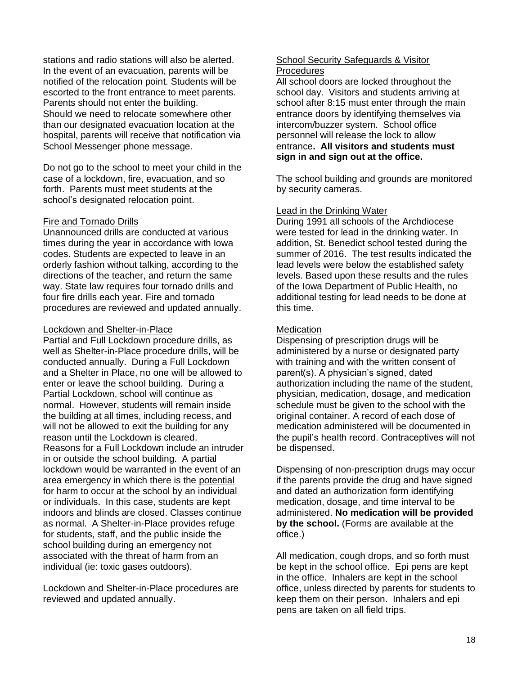stations and radio stations will also be alerted. In the event of an evacuation, parents will be notified of the relocation point. Students will be escorted to the front entrance to meet parents. Parents should not enter the building. Should we need to relocate somewhere other than our designated evacuation location at the hospital, parents will receive that notification via School Messenger phone message.

Do not go to the school to meet your child in the case of a lockdown, fire, evacuation, and so forth. Parents must meet students at the school's designated relocation point.

#### Fire and Tornado Drills

Unannounced drills are conducted at various times during the year in accordance with Iowa codes. Students are expected to leave in an orderly fashion without talking, according to the directions of the teacher, and return the same way. State law requires four tornado drills and four fire drills each year. Fire and tornado procedures are reviewed and updated annually.

#### Lockdown and Shelter-in-Place

Partial and Full Lockdown procedure drills, as well as Shelter-in-Place procedure drills, will be conducted annually. During a Full Lockdown and a Shelter in Place, no one will be allowed to enter or leave the school building. During a Partial Lockdown, school will continue as normal. However, students will remain inside the building at all times, including recess, and will not be allowed to exit the building for any reason until the Lockdown is cleared. Reasons for a Full Lockdown include an intruder in or outside the school building. A partial lockdown would be warranted in the event of an area emergency in which there is the potential for harm to occur at the school by an individual or individuals. In this case, students are kept indoors and blinds are closed. Classes continue as normal. A Shelter-in-Place provides refuge for students, staff, and the public inside the school building during an emergency not associated with the threat of harm from an individual (ie: toxic gases outdoors).

Lockdown and Shelter-in-Place procedures are reviewed and updated annually.

#### School Security Safeguards & Visitor **Procedures**

All school doors are locked throughout the school day. Visitors and students arriving at school after 8:15 must enter through the main entrance doors by identifying themselves via intercom/buzzer system. School office personnel will release the lock to allow entrance**. All visitors and students must sign in and sign out at the office.**

The school building and grounds are monitored by security cameras.

#### Lead in the Drinking Water

During 1991 all schools of the Archdiocese were tested for lead in the drinking water. In addition, St. Benedict school tested during the summer of 2016. The test results indicated the lead levels were below the established safety levels. Based upon these results and the rules of the Iowa Department of Public Health, no additional testing for lead needs to be done at this time.

#### **Medication**

Dispensing of prescription drugs will be administered by a nurse or designated party with training and with the written consent of parent(s). A physician's signed, dated authorization including the name of the student, physician, medication, dosage, and medication schedule must be given to the school with the original container. A record of each dose of medication administered will be documented in the pupil's health record. Contraceptives will not be dispensed.

Dispensing of non-prescription drugs may occur if the parents provide the drug and have signed and dated an authorization form identifying medication, dosage, and time interval to be administered. **No medication will be provided by the school.** (Forms are available at the office.)

All medication, cough drops, and so forth must be kept in the school office. Epi pens are kept in the office. Inhalers are kept in the school office, unless directed by parents for students to keep them on their person. Inhalers and epi pens are taken on all field trips.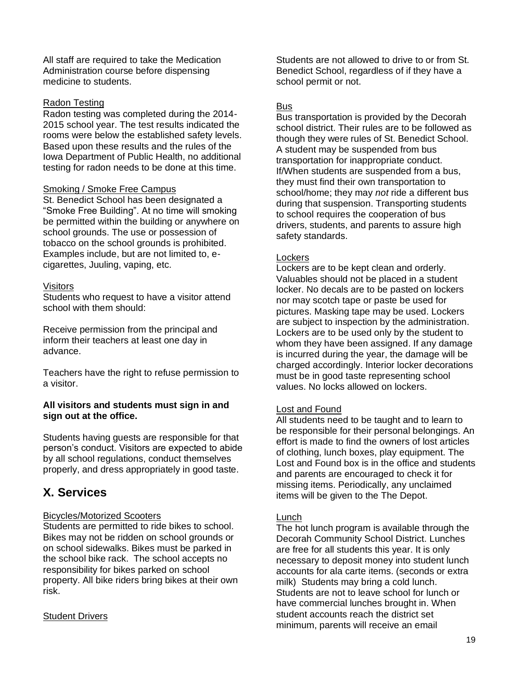All staff are required to take the Medication Administration course before dispensing medicine to students.

#### Radon Testing

Radon testing was completed during the 2014- 2015 school year. The test results indicated the rooms were below the established safety levels. Based upon these results and the rules of the Iowa Department of Public Health, no additional testing for radon needs to be done at this time.

#### Smoking / Smoke Free Campus

St. Benedict School has been designated a "Smoke Free Building". At no time will smoking be permitted within the building or anywhere on school grounds. The use or possession of tobacco on the school grounds is prohibited. Examples include, but are not limited to, ecigarettes, Juuling, vaping, etc.

#### Visitors

Students who request to have a visitor attend school with them should:

Receive permission from the principal and inform their teachers at least one day in advance.

Teachers have the right to refuse permission to a visitor.

#### **All visitors and students must sign in and sign out at the office.**

Students having guests are responsible for that person's conduct. Visitors are expected to abide by all school regulations, conduct themselves properly, and dress appropriately in good taste.

# **X. Services**

#### Bicycles/Motorized Scooters

Students are permitted to ride bikes to school. Bikes may not be ridden on school grounds or on school sidewalks. Bikes must be parked in the school bike rack. The school accepts no responsibility for bikes parked on school property. All bike riders bring bikes at their own risk.

#### Student Drivers

Students are not allowed to drive to or from St. Benedict School, regardless of if they have a school permit or not.

#### Bus

Bus transportation is provided by the Decorah school district. Their rules are to be followed as though they were rules of St. Benedict School. A student may be suspended from bus transportation for inappropriate conduct. If/When students are suspended from a bus, they must find their own transportation to school/home; they may *not* ride a different bus during that suspension. Transporting students to school requires the cooperation of bus drivers, students, and parents to assure high safety standards.

#### **Lockers**

Lockers are to be kept clean and orderly. Valuables should not be placed in a student locker. No decals are to be pasted on lockers nor may scotch tape or paste be used for pictures. Masking tape may be used. Lockers are subject to inspection by the administration. Lockers are to be used only by the student to whom they have been assigned. If any damage is incurred during the year, the damage will be charged accordingly. Interior locker decorations must be in good taste representing school values. No locks allowed on lockers.

#### Lost and Found

All students need to be taught and to learn to be responsible for their personal belongings. An effort is made to find the owners of lost articles of clothing, lunch boxes, play equipment. The Lost and Found box is in the office and students and parents are encouraged to check it for missing items. Periodically, any unclaimed items will be given to the The Depot.

#### Lunch

The hot lunch program is available through the Decorah Community School District. Lunches are free for all students this year. It is only necessary to deposit money into student lunch accounts for ala carte items. (seconds or extra milk) Students may bring a cold lunch. Students are not to leave school for lunch or have commercial lunches brought in. When student accounts reach the district set minimum, parents will receive an email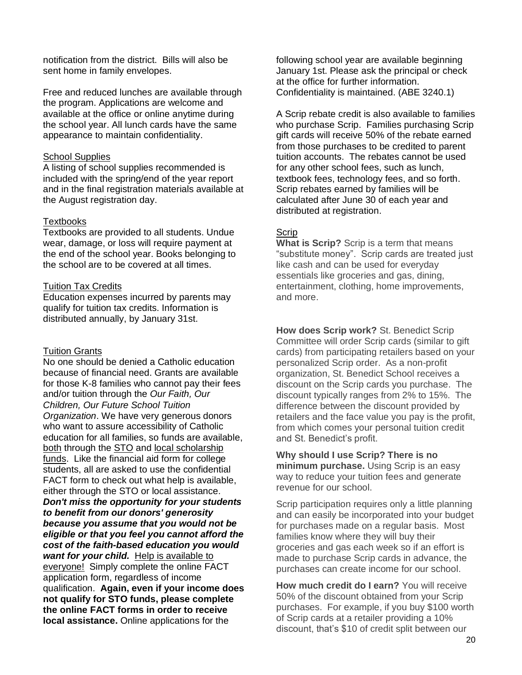notification from the district. Bills will also be sent home in family envelopes.

Free and reduced lunches are available through the program. Applications are welcome and available at the office or online anytime during the school year. All lunch cards have the same appearance to maintain confidentiality.

#### School Supplies

A listing of school supplies recommended is included with the spring/end of the year report and in the final registration materials available at the August registration day.

#### **Textbooks**

Textbooks are provided to all students. Undue wear, damage, or loss will require payment at the end of the school year. Books belonging to the school are to be covered at all times.

#### Tuition Tax Credits

Education expenses incurred by parents may qualify for tuition tax credits. Information is distributed annually, by January 31st.

#### Tuition Grants

No one should be denied a Catholic education because of financial need. Grants are available for those K-8 families who cannot pay their fees and/or tuition through the *Our Faith, Our Children, Our Future School Tuition Organization*. We have very generous donors who want to assure accessibility of Catholic education for all families, so funds are available, both through the STO and local scholarship funds. Like the financial aid form for college students, all are asked to use the confidential FACT form to check out what help is available, either through the STO or local assistance. *Don't miss the opportunity for your students to benefit from our donors' generosity because you assume that you would not be eligible or that you feel you cannot afford the cost of the faith-based education you would want for your child.* Help is available to everyone! Simply complete the online FACT application form, regardless of income qualification. **Again, even if your income does not qualify for STO funds, please complete the online FACT forms in order to receive local assistance.** Online applications for the

following school year are available beginning January 1st. Please ask the principal or check at the office for further information. Confidentiality is maintained. (ABE 3240.1)

A Scrip rebate credit is also available to families who purchase Scrip. Families purchasing Scrip gift cards will receive 50% of the rebate earned from those purchases to be credited to parent tuition accounts. The rebates cannot be used for any other school fees, such as lunch, textbook fees, technology fees, and so forth. Scrip rebates earned by families will be calculated after June 30 of each year and distributed at registration.

#### Scrip

**What is Scrip?** Scrip is a term that means "substitute money". Scrip cards are treated just like cash and can be used for everyday essentials like groceries and gas, dining, entertainment, clothing, home improvements, and more.

**How does Scrip work?** St. Benedict Scrip Committee will order Scrip cards (similar to gift cards) from participating retailers based on your personalized Scrip order. As a non-profit organization, St. Benedict School receives a discount on the Scrip cards you purchase. The discount typically ranges from 2% to 15%. The difference between the discount provided by retailers and the face value you pay is the profit, from which comes your personal tuition credit and St. Benedict's profit.

**Why should I use Scrip? There is no minimum purchase.** Using Scrip is an easy way to reduce your tuition fees and generate revenue for our school.

Scrip participation requires only a little planning and can easily be incorporated into your budget for purchases made on a regular basis. Most families know where they will buy their groceries and gas each week so if an effort is made to purchase Scrip cards in advance, the purchases can create income for our school.

**How much credit do I earn?** You will receive 50% of the discount obtained from your Scrip purchases. For example, if you buy \$100 worth of Scrip cards at a retailer providing a 10% discount, that's \$10 of credit split between our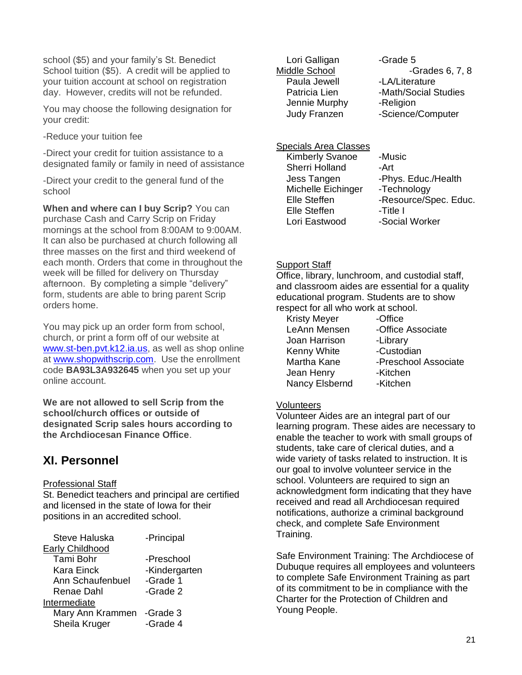school (\$5) and your family's St. Benedict School tuition (\$5). A credit will be applied to your tuition account at school on registration day. However, credits will not be refunded.

You may choose the following designation for your credit:

-Reduce your tuition fee

-Direct your credit for tuition assistance to a designated family or family in need of assistance

-Direct your credit to the general fund of the school

**When and where can I buy Scrip?** You can purchase Cash and Carry Scrip on Friday mornings at the school from 8:00AM to 9:00AM. It can also be purchased at church following all three masses on the first and third weekend of each month. Orders that come in throughout the week will be filled for delivery on Thursday afternoon. By completing a simple "delivery" form, students are able to bring parent Scrip orders home.

You may pick up an order form from school, church, or print a form off of our website at [www.st-ben.pvt.k12.ia.us,](http://www.st-ben.pvt.k12.ia.us/) as well as shop online at [www.shopwithscrip.com.](http://www.shopwithscrip.com/) Use the enrollment code **BA93L3A932645** when you set up your online account.

**We are not allowed to sell Scrip from the school/church offices or outside of designated Scrip sales hours according to the Archdiocesan Finance Office**.

# **XI. Personnel**

#### Professional Staff

St. Benedict teachers and principal are certified and licensed in the state of Iowa for their positions in an accredited school.

| Steve Haluska     | -Principal    |
|-------------------|---------------|
| Early Childhood   |               |
| Tami Bohr         | -Preschool    |
| Kara Einck        | -Kindergarten |
| Ann Schaufenbuel  | -Grade 1      |
| <b>Renae Dahl</b> | -Grade 2      |
| Intermediate      |               |
| Mary Ann Krammen  | -Grade 3      |
| Sheila Kruger     | -Grade 4      |

| Lori Galligan                                                                           | -Grade 5                              |
|-----------------------------------------------------------------------------------------|---------------------------------------|
| Middle School                                                                           | -Grades 6, 7, 8                       |
| Paula Jewell                                                                            | -LA/Literature                        |
| Patricia Lien                                                                           | -Math/Social Studies                  |
| Jennie Murphy                                                                           | -Religion                             |
| Judy Franzen                                                                            | -Science/Computer                     |
| <b>Specials Area Classes</b><br><b>Kimberly Svanoe</b><br>Sherri Holland<br>Jess Tangen | -Music<br>-Art<br>-Phys. Educ./Health |

Jess Tangen -Phys. Educ./Health Michelle Eichinger -Technology Elle Steffen -Resource/Spec. Educ. Elle Steffen -Title I Lori Eastwood -Social Worker

#### Support Staff

Office, library, lunchroom, and custodial staff, and classroom aides are essential for a quality educational program. Students are to show respect for all who work at school.

Kristy Meyer -Office Joan Harrison -Library Kenny White - Custodian Jean Henry -Kitchen Nancy Elsbernd -Kitchen

LeAnn Mensen -Office Associate Martha Kane -Preschool Associate

#### Volunteers

Volunteer Aides are an integral part of our learning program. These aides are necessary to enable the teacher to work with small groups of students, take care of clerical duties, and a wide variety of tasks related to instruction. It is our goal to involve volunteer service in the school. Volunteers are required to sign an acknowledgment form indicating that they have received and read all Archdiocesan required notifications, authorize a criminal background check, and complete Safe Environment Training.

Safe Environment Training: The Archdiocese of Dubuque requires all employees and volunteers to complete Safe Environment Training as part of its commitment to be in compliance with the Charter for the Protection of Children and Young People.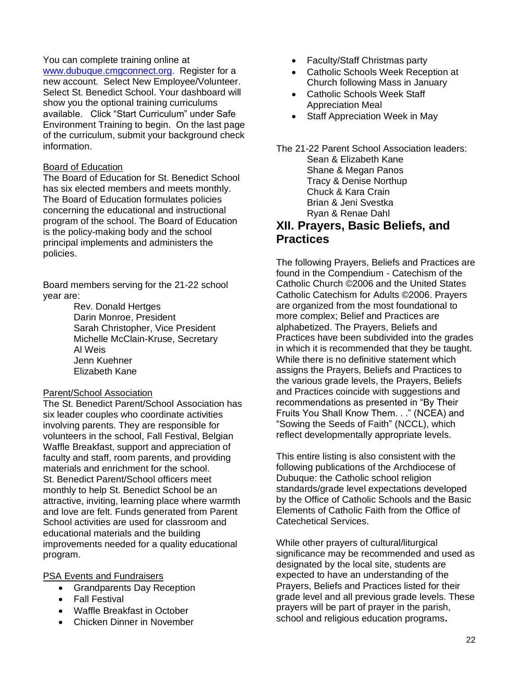You can complete training online at [www.dubuque.cmgconnect.org.](http://www.dubuque.cmgconnect.org/) Register for a new account. Select New Employee/Volunteer. Select St. Benedict School. Your dashboard will show you the optional training curriculums available. Click "Start Curriculum" under Safe Environment Training to begin. On the last page of the curriculum, submit your background check information.

#### Board of Education

The Board of Education for St. Benedict School has six elected members and meets monthly. The Board of Education formulates policies concerning the educational and instructional program of the school. The Board of Education is the policy-making body and the school principal implements and administers the policies.

Board members serving for the 21-22 school year are:

> Rev. Donald Hertges Darin Monroe, President Sarah Christopher, Vice President Michelle McClain-Kruse, Secretary Al Weis Jenn Kuehner Elizabeth Kane

#### Parent/School Association

The St. Benedict Parent/School Association has six leader couples who coordinate activities involving parents. They are responsible for volunteers in the school, Fall Festival, Belgian Waffle Breakfast, support and appreciation of faculty and staff, room parents, and providing materials and enrichment for the school. St. Benedict Parent/School officers meet monthly to help St. Benedict School be an attractive, inviting, learning place where warmth and love are felt. Funds generated from Parent School activities are used for classroom and educational materials and the building improvements needed for a quality educational program.

#### PSA Events and Fundraisers

- Grandparents Day Reception
- Fall Festival
- Waffle Breakfast in October
- Chicken Dinner in November
- Faculty/Staff Christmas party
- Catholic Schools Week Reception at Church following Mass in January
- Catholic Schools Week Staff Appreciation Meal
- Staff Appreciation Week in May

The 21-22 Parent School Association leaders: Sean & Elizabeth Kane Shane & Megan Panos Tracy & Denise Northup Chuck & Kara Crain Brian & Jeni Svestka Ryan & Renae Dahl

# **XII. Prayers, Basic Beliefs, and Practices**

The following Prayers, Beliefs and Practices are found in the Compendium - Catechism of the Catholic Church ©2006 and the United States Catholic Catechism for Adults ©2006. Prayers are organized from the most foundational to more complex; Belief and Practices are alphabetized. The Prayers, Beliefs and Practices have been subdivided into the grades in which it is recommended that they be taught. While there is no definitive statement which assigns the Prayers, Beliefs and Practices to the various grade levels, the Prayers, Beliefs and Practices coincide with suggestions and recommendations as presented in "By Their Fruits You Shall Know Them. . ." (NCEA) and "Sowing the Seeds of Faith" (NCCL), which reflect developmentally appropriate levels.

This entire listing is also consistent with the following publications of the Archdiocese of Dubuque: the Catholic school religion standards/grade level expectations developed by the Office of Catholic Schools and the Basic Elements of Catholic Faith from the Office of Catechetical Services.

While other prayers of cultural/liturgical significance may be recommended and used as designated by the local site, students are expected to have an understanding of the Prayers, Beliefs and Practices listed for their grade level and all previous grade levels. These prayers will be part of prayer in the parish, school and religious education programs**.**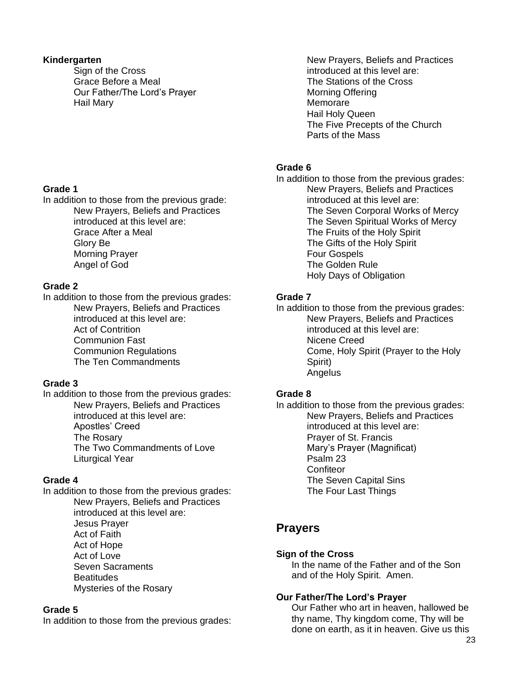#### **Kindergarten**

Sign of the Cross Grace Before a Meal Our Father/The Lord's Prayer Hail Mary

#### **Grade 1**

In addition to those from the previous grade: New Prayers, Beliefs and Practices introduced at this level are: Grace After a Meal Glory Be Morning Prayer Angel of God

#### **Grade 2**

In addition to those from the previous grades: New Prayers, Beliefs and Practices introduced at this level are: Act of Contrition Communion Fast Communion Regulations The Ten Commandments

#### **Grade 3**

In addition to those from the previous grades: New Prayers, Beliefs and Practices introduced at this level are: Apostles' Creed The Rosary The Two Commandments of Love Liturgical Year

## **Grade 4**

In addition to those from the previous grades: New Prayers, Beliefs and Practices introduced at this level are: Jesus Prayer Act of Faith Act of Hope Act of Love Seven Sacraments **Beatitudes** Mysteries of the Rosary

#### **Grade 5**

In addition to those from the previous grades:

New Prayers, Beliefs and Practices introduced at this level are: The Stations of the Cross Morning Offering Memorare Hail Holy Queen The Five Precepts of the Church Parts of the Mass

#### **Grade 6**

In addition to those from the previous grades: New Prayers, Beliefs and Practices introduced at this level are: The Seven Corporal Works of Mercy The Seven Spiritual Works of Mercy The Fruits of the Holy Spirit The Gifts of the Holy Spirit Four Gospels The Golden Rule Holy Days of Obligation

## **Grade 7**

In addition to those from the previous grades: New Prayers, Beliefs and Practices introduced at this level are: Nicene Creed Come, Holy Spirit (Prayer to the Holy Spirit) Angelus

## **Grade 8**

In addition to those from the previous grades: New Prayers, Beliefs and Practices introduced at this level are: Prayer of St. Francis Mary's Prayer (Magnificat) Psalm 23 **Confiteor** The Seven Capital Sins The Four Last Things

# **Prayers**

#### **Sign of the Cross**

In the name of the Father and of the Son and of the Holy Spirit. Amen.

#### **Our Father/The Lord's Prayer**

Our Father who art in heaven, hallowed be thy name, Thy kingdom come, Thy will be done on earth, as it in heaven. Give us this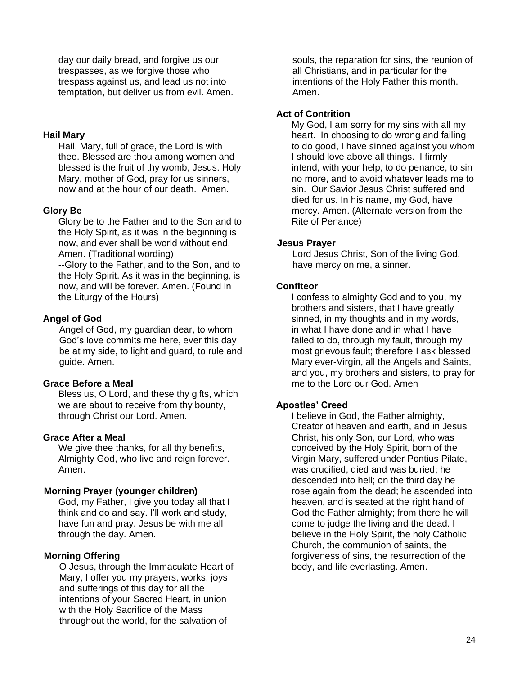day our daily bread, and forgive us our trespasses, as we forgive those who trespass against us, and lead us not into temptation, but deliver us from evil. Amen.

#### **Hail Mary**

Hail, Mary, full of grace, the Lord is with thee. Blessed are thou among women and blessed is the fruit of thy womb, Jesus. Holy Mary, mother of God, pray for us sinners, now and at the hour of our death. Amen.

#### **Glory Be**

Glory be to the Father and to the Son and to the Holy Spirit, as it was in the beginning is now, and ever shall be world without end. Amen. (Traditional wording) --Glory to the Father, and to the Son, and to the Holy Spirit. As it was in the beginning, is now, and will be forever. Amen. (Found in the Liturgy of the Hours)

## **Angel of God**

Angel of God, my guardian dear, to whom God's love commits me here, ever this day be at my side, to light and guard, to rule and guide. Amen.

#### **Grace Before a Meal**

Bless us, O Lord, and these thy gifts, which we are about to receive from thy bounty, through Christ our Lord. Amen.

#### **Grace After a Meal**

We give thee thanks, for all thy benefits, Almighty God, who live and reign forever. Amen.

## **Morning Prayer (younger children)**

God, my Father, I give you today all that I think and do and say. I'll work and study, have fun and pray. Jesus be with me all through the day. Amen.

## **Morning Offering**

O Jesus, through the Immaculate Heart of Mary, I offer you my prayers, works, joys and sufferings of this day for all the intentions of your Sacred Heart, in union with the Holy Sacrifice of the Mass throughout the world, for the salvation of

souls, the reparation for sins, the reunion of all Christians, and in particular for the intentions of the Holy Father this month. Amen.

#### **Act of Contrition**

My God, I am sorry for my sins with all my heart. In choosing to do wrong and failing to do good, I have sinned against you whom I should love above all things. I firmly intend, with your help, to do penance, to sin no more, and to avoid whatever leads me to sin. Our Savior Jesus Christ suffered and died for us. In his name, my God, have mercy. Amen. (Alternate version from the Rite of Penance)

#### **Jesus Prayer**

Lord Jesus Christ, Son of the living God, have mercy on me, a sinner.

#### **Confiteor**

I confess to almighty God and to you, my brothers and sisters, that I have greatly sinned, in my thoughts and in my words, in what I have done and in what I have failed to do, through my fault, through my most grievous fault; therefore I ask blessed Mary ever-Virgin, all the Angels and Saints, and you, my brothers and sisters, to pray for me to the Lord our God. Amen

## **Apostles' Creed**

I believe in God, the Father almighty, Creator of heaven and earth, and in Jesus Christ, his only Son, our Lord, who was conceived by the Holy Spirit, born of the Virgin Mary, suffered under Pontius Pilate, was crucified, died and was buried; he descended into hell; on the third day he rose again from the dead; he ascended into heaven, and is seated at the right hand of God the Father almighty; from there he will come to judge the living and the dead. I believe in the Holy Spirit, the holy Catholic Church, the communion of saints, the forgiveness of sins, the resurrection of the body, and life everlasting. Amen.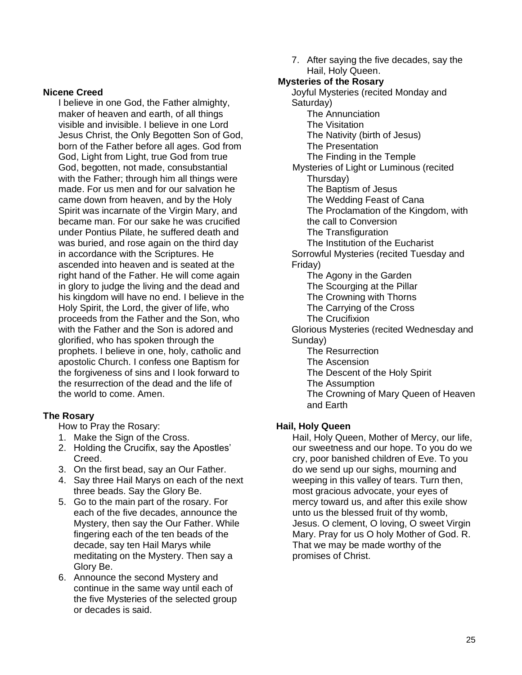#### **Nicene Creed**

I believe in one God, the Father almighty, maker of heaven and earth, of all things visible and invisible. I believe in one Lord Jesus Christ, the Only Begotten Son of God, born of the Father before all ages. God from God, Light from Light, true God from true God, begotten, not made, consubstantial with the Father; through him all things were made. For us men and for our salvation he came down from heaven, and by the Holy Spirit was incarnate of the Virgin Mary, and became man. For our sake he was crucified under Pontius Pilate, he suffered death and was buried, and rose again on the third day in accordance with the Scriptures. He ascended into heaven and is seated at the right hand of the Father. He will come again in glory to judge the living and the dead and his kingdom will have no end. I believe in the Holy Spirit, the Lord, the giver of life, who proceeds from the Father and the Son, who with the Father and the Son is adored and glorified, who has spoken through the prophets. I believe in one, holy, catholic and apostolic Church. I confess one Baptism for the forgiveness of sins and I look forward to the resurrection of the dead and the life of the world to come. Amen.

#### **The Rosary**

How to Pray the Rosary:

- 1. Make the Sign of the Cross.
- 2. Holding the Crucifix, say the Apostles' Creed.
- 3. On the first bead, say an Our Father.
- 4. Say three Hail Marys on each of the next three beads. Say the Glory Be.
- 5. Go to the main part of the rosary. For each of the five decades, announce the Mystery, then say the Our Father. While fingering each of the ten beads of the decade, say ten Hail Marys while meditating on the Mystery. Then say a Glory Be.
- 6. Announce the second Mystery and continue in the same way until each of the five Mysteries of the selected group or decades is said.

7. After saying the five decades, say the Hail, Holy Queen.

#### **Mysteries of the Rosary**

Joyful Mysteries (recited Monday and Saturday)

- The Annunciation
- The Visitation
- The Nativity (birth of Jesus)
- The Presentation
- The Finding in the Temple

Mysteries of Light or Luminous (recited Thursday)

- The Baptism of Jesus
- The Wedding Feast of Cana

The Proclamation of the Kingdom, with

- the call to Conversion
- The Transfiguration

The Institution of the Eucharist

Sorrowful Mysteries (recited Tuesday and Friday)

- The Agony in the Garden
- The Scourging at the Pillar
- The Crowning with Thorns
- The Carrying of the Cross
- The Crucifixion

Glorious Mysteries (recited Wednesday and Sunday)

- The Resurrection
- The Ascension
- The Descent of the Holy Spirit
- The Assumption
- The Crowning of Mary Queen of Heaven and Earth

#### **Hail, Holy Queen**

Hail, Holy Queen, Mother of Mercy, our life, our sweetness and our hope. To you do we cry, poor banished children of Eve. To you do we send up our sighs, mourning and weeping in this valley of tears. Turn then, most gracious advocate, your eyes of mercy toward us, and after this exile show unto us the blessed fruit of thy womb, Jesus. O clement, O loving, O sweet Virgin Mary. Pray for us O holy Mother of God. R. That we may be made worthy of the promises of Christ.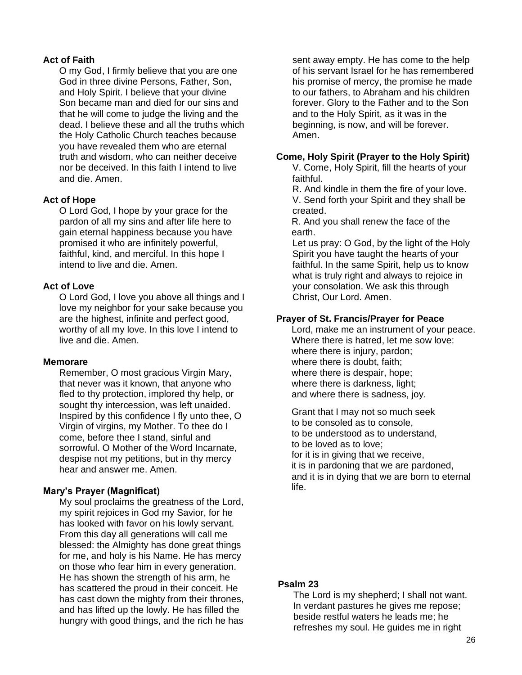#### **Act of Faith**

O my God, I firmly believe that you are one God in three divine Persons, Father, Son, and Holy Spirit. I believe that your divine Son became man and died for our sins and that he will come to judge the living and the dead. I believe these and all the truths which the Holy Catholic Church teaches because you have revealed them who are eternal truth and wisdom, who can neither deceive nor be deceived. In this faith I intend to live and die. Amen.

#### **Act of Hope**

O Lord God, I hope by your grace for the pardon of all my sins and after life here to gain eternal happiness because you have promised it who are infinitely powerful, faithful, kind, and merciful. In this hope I intend to live and die. Amen.

#### **Act of Love**

O Lord God, I love you above all things and I love my neighbor for your sake because you are the highest, infinite and perfect good, worthy of all my love. In this love I intend to live and die. Amen.

#### **Memorare**

Remember, O most gracious Virgin Mary, that never was it known, that anyone who fled to thy protection, implored thy help, or sought thy intercession, was left unaided. Inspired by this confidence I fly unto thee, O Virgin of virgins, my Mother. To thee do I come, before thee I stand, sinful and sorrowful. O Mother of the Word Incarnate, despise not my petitions, but in thy mercy hear and answer me. Amen.

#### **Mary's Prayer (Magnificat)**

My soul proclaims the greatness of the Lord, my spirit rejoices in God my Savior, for he has looked with favor on his lowly servant. From this day all generations will call me blessed: the Almighty has done great things for me, and holy is his Name. He has mercy on those who fear him in every generation. He has shown the strength of his arm, he has scattered the proud in their conceit. He has cast down the mighty from their thrones, and has lifted up the lowly. He has filled the hungry with good things, and the rich he has sent away empty. He has come to the help of his servant Israel for he has remembered his promise of mercy, the promise he made to our fathers, to Abraham and his children forever. Glory to the Father and to the Son and to the Holy Spirit, as it was in the beginning, is now, and will be forever. Amen.

#### **Come, Holy Spirit (Prayer to the Holy Spirit)**

V. Come, Holy Spirit, fill the hearts of your faithful.

R. And kindle in them the fire of your love. V. Send forth your Spirit and they shall be created.

R. And you shall renew the face of the earth.

Let us pray: O God, by the light of the Holy Spirit you have taught the hearts of your faithful. In the same Spirit, help us to know what is truly right and always to rejoice in your consolation. We ask this through Christ, Our Lord. Amen.

#### **Prayer of St. Francis/Prayer for Peace**

Lord, make me an instrument of your peace. Where there is hatred, let me sow love: where there is injury, pardon: where there is doubt, faith; where there is despair, hope; where there is darkness, light; and where there is sadness, joy.

Grant that I may not so much seek to be consoled as to console, to be understood as to understand, to be loved as to love; for it is in giving that we receive, it is in pardoning that we are pardoned, and it is in dying that we are born to eternal life.

#### **Psalm 23**

The Lord is my shepherd; I shall not want. In verdant pastures he gives me repose; beside restful waters he leads me; he refreshes my soul. He guides me in right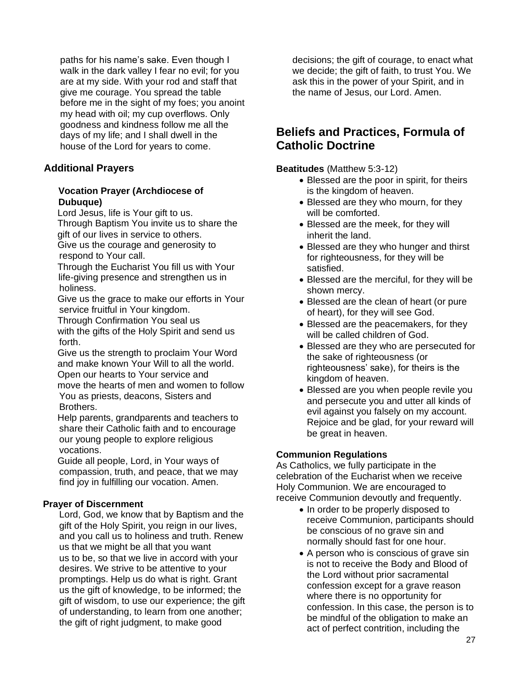paths for his name's sake. Even though I walk in the dark valley I fear no evil; for you are at my side. With your rod and staff that give me courage. You spread the table before me in the sight of my foes; you anoint my head with oil; my cup overflows. Only goodness and kindness follow me all the days of my life; and I shall dwell in the house of the Lord for years to come.

# **Additional Prayers**

#### **Vocation Prayer (Archdiocese of Dubuque)**

Lord Jesus, life is Your gift to us. Through Baptism You invite us to share the gift of our lives in service to others.

Give us the courage and generosity to respond to Your call.

Through the Eucharist You fill us with Your life-giving presence and strengthen us in holiness.

Give us the grace to make our efforts in Your service fruitful in Your kingdom.

Through Confirmation You seal us with the gifts of the Holy Spirit and send us

forth.

Give us the strength to proclaim Your Word and make known Your Will to all the world. Open our hearts to Your service and move the hearts of men and women to follow You as priests, deacons, Sisters and Brothers.

Help parents, grandparents and teachers to share their Catholic faith and to encourage our young people to explore religious vocations.

Guide all people, Lord, in Your ways of compassion, truth, and peace, that we may find joy in fulfilling our vocation. Amen.

#### **Prayer of Discernment**

Lord, God, we know that by Baptism and the gift of the Holy Spirit, you reign in our lives, and you call us to holiness and truth. Renew us that we might be all that you want us to be, so that we live in accord with your desires. We strive to be attentive to your promptings. Help us do what is right. Grant us the gift of knowledge, to be informed; the gift of wisdom, to use our experience; the gift of understanding, to learn from one another; the gift of right judgment, to make good

decisions; the gift of courage, to enact what we decide; the gift of faith, to trust You. We ask this in the power of your Spirit, and in the name of Jesus, our Lord. Amen.

# **Beliefs and Practices, Formula of Catholic Doctrine**

# **Beatitudes** (Matthew 5:3-12)

- Blessed are the poor in spirit, for theirs is the kingdom of heaven.
- Blessed are they who mourn, for they will be comforted.
- Blessed are the meek, for they will inherit the land.
- Blessed are they who hunger and thirst for righteousness, for they will be satisfied.
- Blessed are the merciful, for they will be shown mercy.
- Blessed are the clean of heart (or pure of heart), for they will see God.
- Blessed are the peacemakers, for they will be called children of God.
- Blessed are they who are persecuted for the sake of righteousness (or righteousness' sake), for theirs is the kingdom of heaven.
- Blessed are you when people revile you and persecute you and utter all kinds of evil against you falsely on my account. Rejoice and be glad, for your reward will be great in heaven.

# **Communion Regulations**

As Catholics, we fully participate in the celebration of the Eucharist when we receive Holy Communion. We are encouraged to receive Communion devoutly and frequently.

- In order to be properly disposed to receive Communion, participants should be conscious of no grave sin and normally should fast for one hour.
- A person who is conscious of grave sin is not to receive the Body and Blood of the Lord without prior sacramental confession except for a grave reason where there is no opportunity for confession. In this case, the person is to be mindful of the obligation to make an act of perfect contrition, including the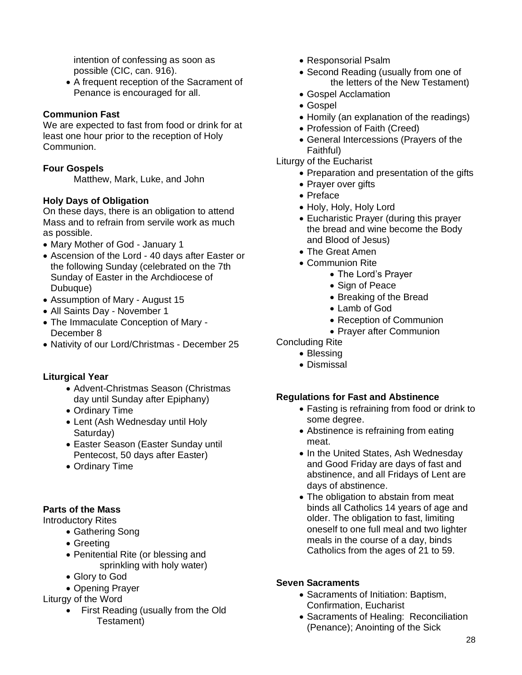intention of confessing as soon as possible (CIC, can. 916).

• A frequent reception of the Sacrament of Penance is encouraged for all.

## **Communion Fast**

We are expected to fast from food or drink for at least one hour prior to the reception of Holy Communion.

# **Four Gospels**

Matthew, Mark, Luke, and John

# **Holy Days of Obligation**

On these days, there is an obligation to attend Mass and to refrain from servile work as much as possible.

- Mary Mother of God January 1
- Ascension of the Lord 40 days after Easter or the following Sunday (celebrated on the 7th Sunday of Easter in the Archdiocese of Dubuque)
- Assumption of Mary August 15
- All Saints Day November 1
- The Immaculate Conception of Mary December 8
- Nativity of our Lord/Christmas December 25

# **Liturgical Year**

- Advent-Christmas Season (Christmas day until Sunday after Epiphany)
- Ordinary Time
- Lent (Ash Wednesday until Holy Saturday)
- Easter Season (Easter Sunday until Pentecost, 50 days after Easter)
- Ordinary Time

# **Parts of the Mass**

Introductory Rites

- Gathering Song
- Greeting
- Penitential Rite (or blessing and sprinkling with holy water)
- Glory to God
- Opening Prayer

Liturgy of the Word

• First Reading (usually from the Old Testament)

- Responsorial Psalm
- Second Reading (usually from one of the letters of the New Testament)
- Gospel Acclamation
- Gospel
- Homily (an explanation of the readings)
- Profession of Faith (Creed)
- General Intercessions (Prayers of the Faithful)
- Liturgy of the Eucharist
	- Preparation and presentation of the gifts
	- Prayer over gifts
	- Preface
	- Holy, Holy, Holy Lord
	- Eucharistic Prayer (during this prayer the bread and wine become the Body and Blood of Jesus)
	- The Great Amen
	- Communion Rite
		- The Lord's Prayer
		- Sign of Peace
		- Breaking of the Bread
		- Lamb of God
		- Reception of Communion
		- Prayer after Communion

Concluding Rite

- Blessing
- Dismissal

# **Regulations for Fast and Abstinence**

- Fasting is refraining from food or drink to some degree.
- Abstinence is refraining from eating meat.
- In the United States, Ash Wednesday and Good Friday are days of fast and abstinence, and all Fridays of Lent are days of abstinence.
- The obligation to abstain from meat binds all Catholics 14 years of age and older. The obligation to fast, limiting oneself to one full meal and two lighter meals in the course of a day, binds Catholics from the ages of 21 to 59.

# **Seven Sacraments**

- Sacraments of Initiation: Baptism, Confirmation, Eucharist
- Sacraments of Healing: Reconciliation (Penance); Anointing of the Sick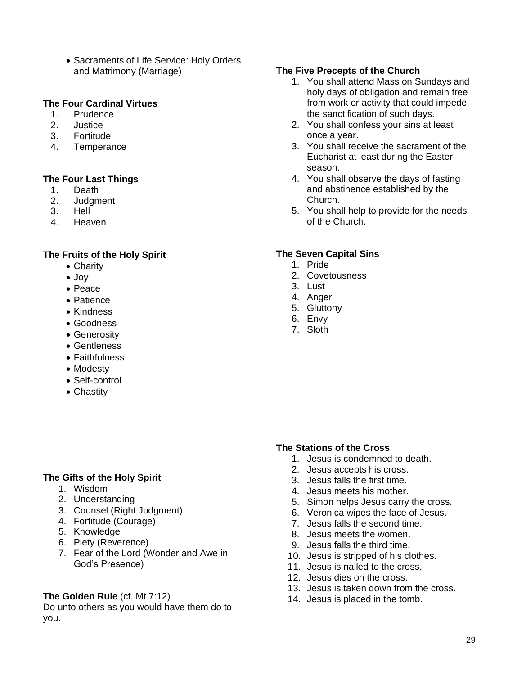• Sacraments of Life Service: Holy Orders and Matrimony (Marriage)

# **The Four Cardinal Virtues**

- 1. Prudence
- 2. Justice
- 3. Fortitude
- 4. Temperance

#### **The Four Last Things**

- 1. Death
- 2. Judgment
- 3. Hell
- 4. Heaven

#### **The Fruits of the Holy Spirit**

- Charity
- Joy
- Peace
- Patience
- Kindness
- Goodness
- Generosity
- Gentleness
- Faithfulness
- Modesty
- Self-control
- Chastity

#### **The Gifts of the Holy Spirit**

- 1. Wisdom
- 2. Understanding
- 3. Counsel (Right Judgment)
- 4. Fortitude (Courage)
- 5. Knowledge
- 6. Piety (Reverence)
- 7. Fear of the Lord (Wonder and Awe in God's Presence)

## **The Golden Rule** (cf. Mt 7:12)

Do unto others as you would have them do to you.

# **The Five Precepts of the Church**

- 1. You shall attend Mass on Sundays and holy days of obligation and remain free from work or activity that could impede the sanctification of such days.
- 2. You shall confess your sins at least once a year.
- 3. You shall receive the sacrament of the Eucharist at least during the Easter season.
- 4. You shall observe the days of fasting and abstinence established by the Church.
- 5. You shall help to provide for the needs of the Church.

# **The Seven Capital Sins**

- 1. Pride
- 2. Covetousness
- 3. Lust
- 4. Anger
- 5. Gluttony
- 6. Envy
- 7. Sloth

## **The Stations of the Cross**

- 1. Jesus is condemned to death.
- 2. Jesus accepts his cross.
- 3. Jesus falls the first time.
- 4. Jesus meets his mother.
- 5. Simon helps Jesus carry the cross.
- 6. Veronica wipes the face of Jesus.
- 7. Jesus falls the second time.
- 8. Jesus meets the women.
- 9. Jesus falls the third time.
- 10. Jesus is stripped of his clothes.
- 11. Jesus is nailed to the cross.
- 12. Jesus dies on the cross.
- 13. Jesus is taken down from the cross.
- 14. Jesus is placed in the tomb.